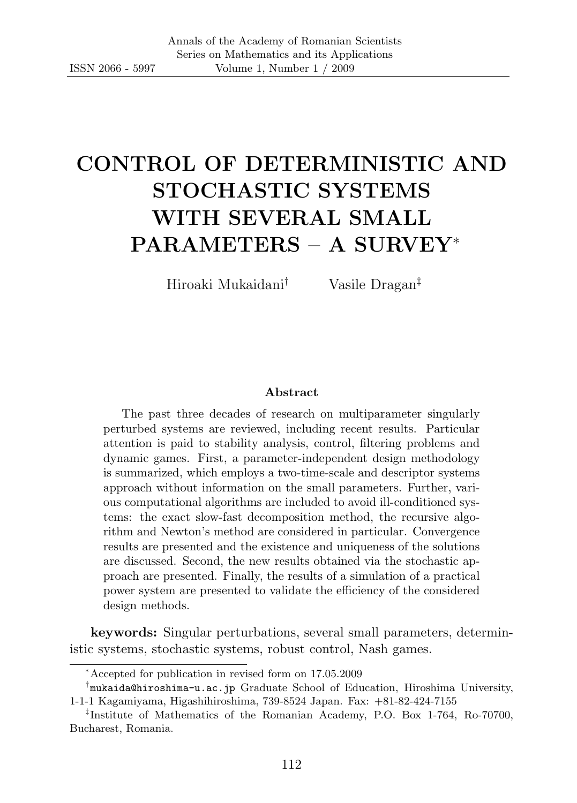# CONTROL OF DETERMINISTIC AND STOCHASTIC SYSTEMS WITH SEVERAL SMALL PARAMETERS – A SURVEY<sup>∗</sup>

Hiroaki Mukaidani† Vasile Dragan‡

#### Abstract

The past three decades of research on multiparameter singularly perturbed systems are reviewed, including recent results. Particular attention is paid to stability analysis, control, filtering problems and dynamic games. First, a parameter-independent design methodology is summarized, which employs a two-time-scale and descriptor systems approach without information on the small parameters. Further, various computational algorithms are included to avoid ill-conditioned systems: the exact slow-fast decomposition method, the recursive algorithm and Newton's method are considered in particular. Convergence results are presented and the existence and uniqueness of the solutions are discussed. Second, the new results obtained via the stochastic approach are presented. Finally, the results of a simulation of a practical power system are presented to validate the efficiency of the considered design methods.

keywords: Singular perturbations, several small parameters, deterministic systems, stochastic systems, robust control, Nash games.

<sup>∗</sup>Accepted for publication in revised form on 17.05.2009

<sup>†</sup> mukaida@hiroshima-u.ac.jp Graduate School of Education, Hiroshima University, 1-1-1 Kagamiyama, Higashihiroshima, 739-8524 Japan. Fax: +81-82-424-7155

<sup>‡</sup> Institute of Mathematics of the Romanian Academy, P.O. Box 1-764, Ro-70700, Bucharest, Romania.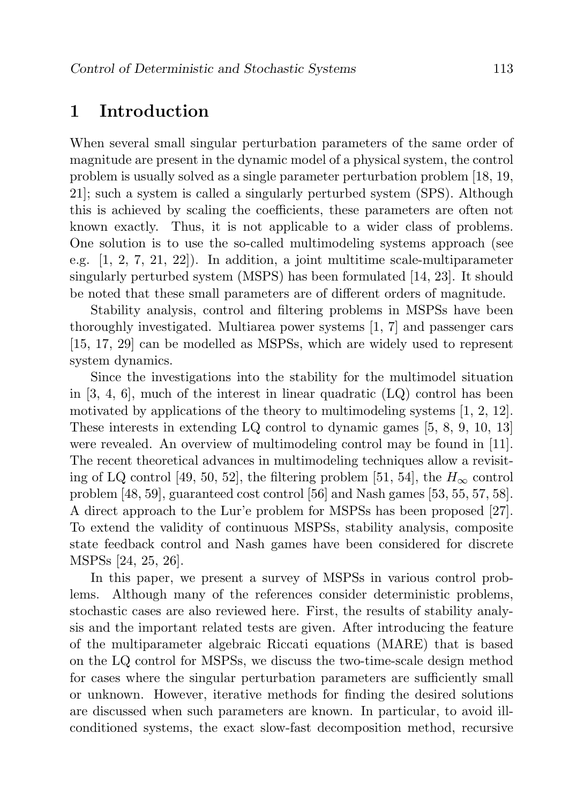# 1 Introduction

When several small singular perturbation parameters of the same order of magnitude are present in the dynamic model of a physical system, the control problem is usually solved as a single parameter perturbation problem [18, 19, 21]; such a system is called a singularly perturbed system (SPS). Although this is achieved by scaling the coefficients, these parameters are often not known exactly. Thus, it is not applicable to a wider class of problems. One solution is to use the so-called multimodeling systems approach (see e.g.  $[1, 2, 7, 21, 22]$ . In addition, a joint multitime scale-multiparameter singularly perturbed system (MSPS) has been formulated [14, 23]. It should be noted that these small parameters are of different orders of magnitude.

Stability analysis, control and filtering problems in MSPSs have been thoroughly investigated. Multiarea power systems [1, 7] and passenger cars [15, 17, 29] can be modelled as MSPSs, which are widely used to represent system dynamics.

Since the investigations into the stability for the multimodel situation in  $[3, 4, 6]$ , much of the interest in linear quadratic  $(LQ)$  control has been motivated by applications of the theory to multimodeling systems  $[1, 2, 12]$ . These interests in extending LQ control to dynamic games [5, 8, 9, 10, 13] were revealed. An overview of multimodeling control may be found in [11]. The recent theoretical advances in multimodeling techniques allow a revisiting of LQ control [49, 50, 52], the filtering problem [51, 54], the  $H_{\infty}$  control problem [48, 59], guaranteed cost control [56] and Nash games [53, 55, 57, 58]. A direct approach to the Lur'e problem for MSPSs has been proposed [27]. To extend the validity of continuous MSPSs, stability analysis, composite state feedback control and Nash games have been considered for discrete MSPSs [24, 25, 26].

In this paper, we present a survey of MSPSs in various control problems. Although many of the references consider deterministic problems, stochastic cases are also reviewed here. First, the results of stability analysis and the important related tests are given. After introducing the feature of the multiparameter algebraic Riccati equations (MARE) that is based on the LQ control for MSPSs, we discuss the two-time-scale design method for cases where the singular perturbation parameters are sufficiently small or unknown. However, iterative methods for finding the desired solutions are discussed when such parameters are known. In particular, to avoid illconditioned systems, the exact slow-fast decomposition method, recursive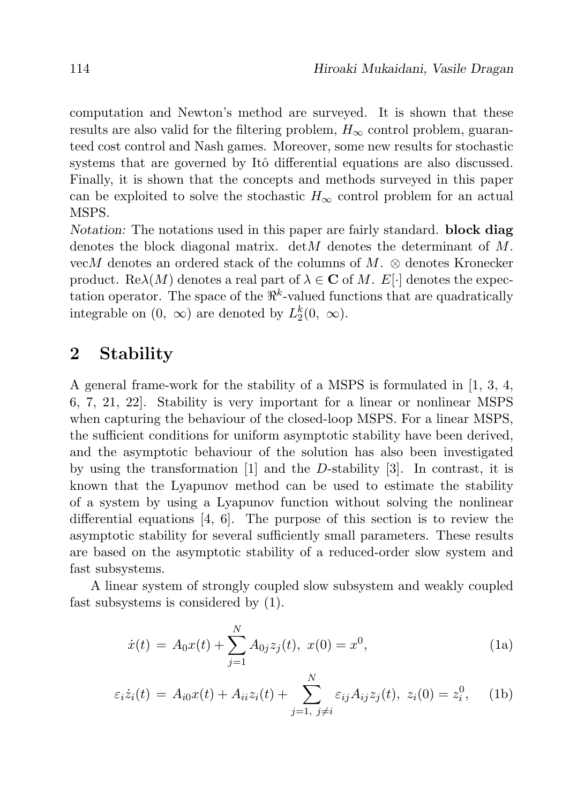computation and Newton's method are surveyed. It is shown that these results are also valid for the filtering problem,  $H_{\infty}$  control problem, guaranteed cost control and Nash games. Moreover, some new results for stochastic systems that are governed by Itô differential equations are also discussed. Finally, it is shown that the concepts and methods surveyed in this paper can be exploited to solve the stochastic  $H_{\infty}$  control problem for an actual MSPS.

Notation: The notations used in this paper are fairly standard. block diag denotes the block diagonal matrix. det *M* denotes the determinant of  $M$ . vecM denotes an ordered stack of the columns of M.  $\otimes$  denotes Kronecker product. Re $\lambda(M)$  denotes a real part of  $\lambda \in \mathbb{C}$  of M. E[·] denotes the expectation operator. The space of the  $\mathbb{R}^k$ -valued functions that are quadratically integrable on  $(0, \infty)$  are denoted by  $L_2^k(0, \infty)$ .

# 2 Stability

A general frame-work for the stability of a MSPS is formulated in [1, 3, 4, 6, 7, 21, 22]. Stability is very important for a linear or nonlinear MSPS when capturing the behaviour of the closed-loop MSPS. For a linear MSPS, the sufficient conditions for uniform asymptotic stability have been derived, and the asymptotic behaviour of the solution has also been investigated by using the transformation  $[1]$  and the D-stability  $[3]$ . In contrast, it is known that the Lyapunov method can be used to estimate the stability of a system by using a Lyapunov function without solving the nonlinear differential equations [4, 6]. The purpose of this section is to review the asymptotic stability for several sufficiently small parameters. These results are based on the asymptotic stability of a reduced-order slow system and fast subsystems.

A linear system of strongly coupled slow subsystem and weakly coupled fast subsystems is considered by (1).

$$
\dot{x}(t) = A_0 x(t) + \sum_{j=1}^{N} A_{0j} z_j(t), \ x(0) = x^0,
$$
\n(1a)

$$
\varepsilon_i \dot{z}_i(t) = A_{i0} x(t) + A_{ii} z_i(t) + \sum_{j=1, j \neq i}^{N} \varepsilon_{ij} A_{ij} z_j(t), \ z_i(0) = z_i^0, \quad \text{(1b)}
$$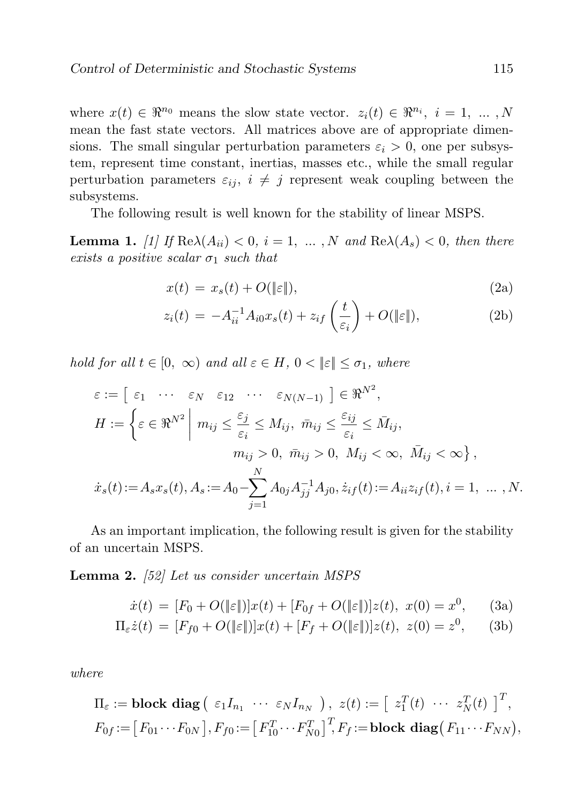where  $x(t) \in \mathbb{R}^{n_0}$  means the slow state vector.  $z_i(t) \in \mathbb{R}^{n_i}$ ,  $i = 1, \ldots, N$ mean the fast state vectors. All matrices above are of appropriate dimensions. The small singular perturbation parameters  $\varepsilon_i > 0$ , one per subsystem, represent time constant, inertias, masses etc., while the small regular perturbation parameters  $\varepsilon_{ij}$ ,  $i \neq j$  represent weak coupling between the subsystems.

The following result is well known for the stability of linear MSPS.

**Lemma 1.** [1] If  $\text{Re}\lambda(A_{ii}) < 0$ ,  $i = 1, ..., N$  and  $\text{Re}\lambda(A_s) < 0$ , then there exists a positive scalar  $\sigma_1$  such that

$$
x(t) = x_s(t) + O(\|\varepsilon\|),\tag{2a}
$$

$$
z_i(t) = -A_{ii}^{-1}A_{i0}x_s(t) + z_{if}\left(\frac{t}{\varepsilon_i}\right) + O(\|\varepsilon\|),\tag{2b}
$$

hold for all  $t \in [0, \infty)$  and all  $\varepsilon \in H$ ,  $0 < ||\varepsilon|| \leq \sigma_1$ , where

$$
\varepsilon := \left[ \varepsilon_1 \cdots \varepsilon_N \varepsilon_{12} \cdots \varepsilon_{N(N-1)} \right] \in \mathbb{R}^{N^2},
$$
  
\n
$$
H := \left\{ \varepsilon \in \mathbb{R}^{N^2} \middle| m_{ij} \le \frac{\varepsilon_j}{\varepsilon_i} \le M_{ij}, \ \bar{m}_{ij} \le \frac{\varepsilon_{ij}}{\varepsilon_i} \le \bar{M}_{ij},
$$
  
\n
$$
m_{ij} > 0, \ \bar{m}_{ij} > 0, \ M_{ij} < \infty, \ \bar{M}_{ij} < \infty \right\},
$$
  
\n
$$
\dot{x}_s(t) := A_s x_s(t), A_s := A_0 - \sum_{j=1}^N A_{0j} A_{jj}^{-1} A_{j0}, \dot{z}_{if}(t) := A_{ii} z_{if}(t), i = 1, \dots, N.
$$

As an important implication, the following result is given for the stability of an uncertain MSPS.

Lemma 2. [52] Let us consider uncertain MSPS

$$
\dot{x}(t) = [F_0 + O(\|\varepsilon\|)]x(t) + [F_{0f} + O(\|\varepsilon\|)]z(t), \ x(0) = x^0, \qquad (3a)
$$

$$
\Pi_{\varepsilon}\dot{z}(t) = [F_{f0} + O(\|\varepsilon\|)]x(t) + [F_f + O(\|\varepsilon\|)]z(t), \ z(0) = z^0,
$$
 (3b)

where

$$
\Pi_{\varepsilon} := \textbf{block diag} \left( \varepsilon_1 I_{n_1} \cdots \varepsilon_N I_{n_N} \right), \ z(t) := \left[ \begin{array}{cc} z_1^T(t) \cdots z_N^T(t) \end{array} \right]^T,
$$
\n
$$
F_{0f} := \left[ F_{01} \cdots F_{0N} \right], F_{f0} := \left[ F_{10}^T \cdots F_{N0}^T \right]^T, F_f := \textbf{block diag} \left( F_{11} \cdots F_{NN} \right),
$$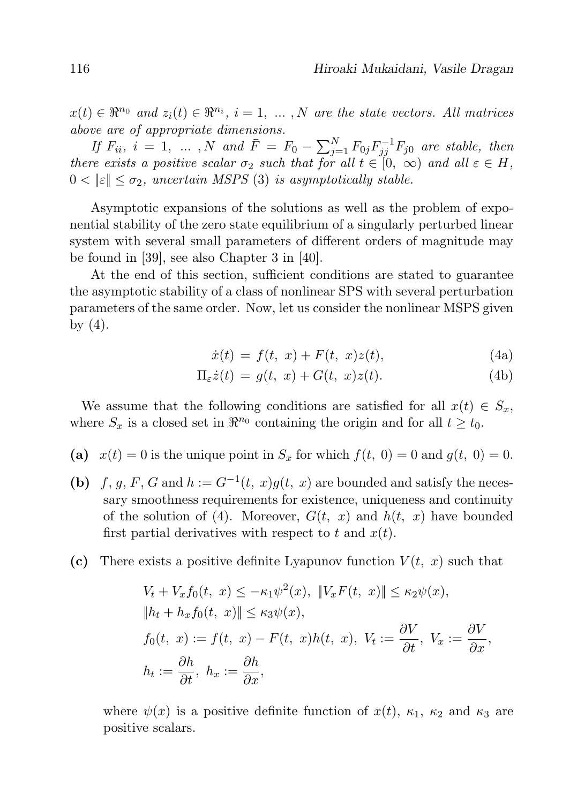$x(t) \in \mathbb{R}^{n_0}$  and  $z_i(t) \in \mathbb{R}^{n_i}$ ,  $i = 1, \ldots, N$  are the state vectors. All matrices above are of appropriate dimensions.

If  $F_{ii}$ ,  $i = 1, \ldots, N$  and  $\bar{F} = F_0 - \sum_{j=1}^{N} F_{0j} F_{jj}^{-1} F_{j0}$  are stable, then there exists a positive scalar  $\sigma_2$  such that for all  $t \in [0, \infty)$  and all  $\varepsilon \in H$ ,  $0 < ||\varepsilon|| < \sigma_2$ , uncertain MSPS (3) is asymptotically stable.

Asymptotic expansions of the solutions as well as the problem of exponential stability of the zero state equilibrium of a singularly perturbed linear system with several small parameters of different orders of magnitude may be found in [39], see also Chapter 3 in [40].

At the end of this section, sufficient conditions are stated to guarantee the asymptotic stability of a class of nonlinear SPS with several perturbation parameters of the same order. Now, let us consider the nonlinear MSPS given by  $(4)$ .

$$
\dot{x}(t) = f(t, x) + F(t, x)z(t),
$$
\n(4a)

$$
\Pi_{\varepsilon}\dot{z}(t) = g(t, x) + G(t, x)z(t). \tag{4b}
$$

We assume that the following conditions are satisfied for all  $x(t) \in S_x$ , where  $S_x$  is a closed set in  $\mathbb{R}^{n_0}$  containing the origin and for all  $t \geq t_0$ .

- (a)  $x(t) = 0$  is the unique point in  $S_x$  for which  $f(t, 0) = 0$  and  $g(t, 0) = 0$ .
- (b) f, g, F, G and  $h := G^{-1}(t, x)g(t, x)$  are bounded and satisfy the necessary smoothness requirements for existence, uniqueness and continuity of the solution of (4). Moreover,  $G(t, x)$  and  $h(t, x)$  have bounded first partial derivatives with respect to t and  $x(t)$ .
- (c) There exists a positive definite Lyapunov function  $V(t, x)$  such that

$$
V_t + V_x f_0(t, x) \le -\kappa_1 \psi^2(x), \|V_x F(t, x)\| \le \kappa_2 \psi(x),
$$
  
\n
$$
\|h_t + h_x f_0(t, x)\| \le \kappa_3 \psi(x),
$$
  
\n
$$
f_0(t, x) := f(t, x) - F(t, x)h(t, x), V_t := \frac{\partial V}{\partial t}, V_x := \frac{\partial V}{\partial x},
$$
  
\n
$$
h_t := \frac{\partial h}{\partial t}, h_x := \frac{\partial h}{\partial x},
$$

where  $\psi(x)$  is a positive definite function of  $x(t)$ ,  $\kappa_1$ ,  $\kappa_2$  and  $\kappa_3$  are positive scalars.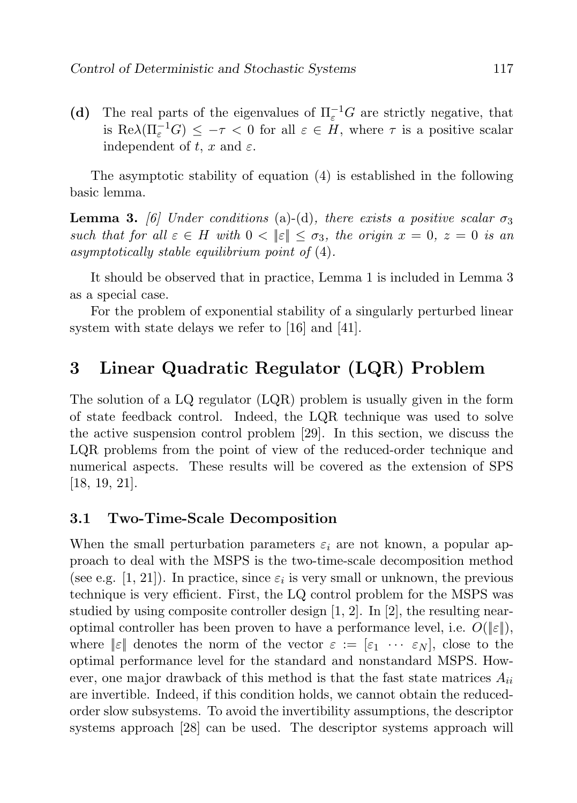(d) The real parts of the eigenvalues of  $\Pi_{\varepsilon}^{-1}G$  are strictly negative, that is  $\text{Re}\lambda(\Pi_{\varepsilon}^{-1}G) \leq -\tau < 0$  for all  $\varepsilon \in H$ , where  $\tau$  is a positive scalar independent of t, x and  $\varepsilon$ .

The asymptotic stability of equation (4) is established in the following basic lemma.

**Lemma 3.** [6] Under conditions (a)-(d), there exists a positive scalar  $\sigma_3$ such that for all  $\varepsilon \in H$  with  $0 < ||\varepsilon|| \leq \sigma_3$ , the origin  $x = 0$ ,  $z = 0$  is an asymptotically stable equilibrium point of (4).

It should be observed that in practice, Lemma 1 is included in Lemma 3 as a special case.

For the problem of exponential stability of a singularly perturbed linear system with state delays we refer to [16] and [41].

# 3 Linear Quadratic Regulator (LQR) Problem

The solution of a LQ regulator (LQR) problem is usually given in the form of state feedback control. Indeed, the LQR technique was used to solve the active suspension control problem [29]. In this section, we discuss the LQR problems from the point of view of the reduced-order technique and numerical aspects. These results will be covered as the extension of SPS [18, 19, 21].

### 3.1 Two-Time-Scale Decomposition

When the small perturbation parameters  $\varepsilon_i$  are not known, a popular approach to deal with the MSPS is the two-time-scale decomposition method (see e.g. [1, 21]). In practice, since  $\varepsilon_i$  is very small or unknown, the previous technique is very efficient. First, the LQ control problem for the MSPS was studied by using composite controller design  $[1, 2]$ . In  $[2]$ , the resulting nearoptimal controller has been proven to have a performance level, i.e.  $O(\|\varepsilon\|)$ , where  $|\varepsilon|$  denotes the norm of the vector  $\varepsilon := [\varepsilon_1 \cdots \varepsilon_N]$ , close to the optimal performance level for the standard and nonstandard MSPS. However, one major drawback of this method is that the fast state matrices  $A_{ii}$ are invertible. Indeed, if this condition holds, we cannot obtain the reducedorder slow subsystems. To avoid the invertibility assumptions, the descriptor systems approach [28] can be used. The descriptor systems approach will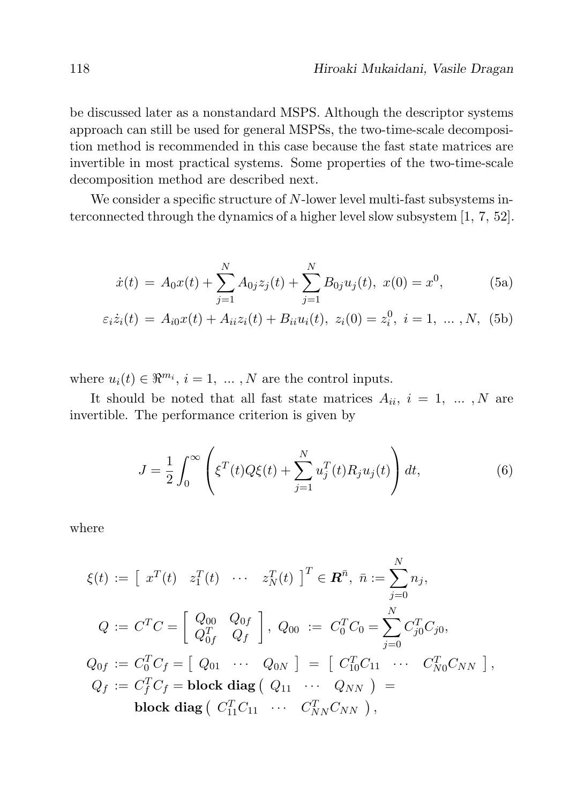be discussed later as a nonstandard MSPS. Although the descriptor systems approach can still be used for general MSPSs, the two-time-scale decomposition method is recommended in this case because the fast state matrices are invertible in most practical systems. Some properties of the two-time-scale decomposition method are described next.

We consider a specific structure of N-lower level multi-fast subsystems interconnected through the dynamics of a higher level slow subsystem [1, 7, 52].

$$
\dot{x}(t) = A_0 x(t) + \sum_{j=1}^{N} A_{0j} z_j(t) + \sum_{j=1}^{N} B_{0j} u_j(t), \ x(0) = x^0,
$$
 (5a)

$$
\varepsilon_i \dot{z}_i(t) = A_{i0} x(t) + A_{ii} z_i(t) + B_{ii} u_i(t), \ z_i(0) = z_i^0, \ i = 1, \ \dots \ , N, \ (5b)
$$

where  $u_i(t) \in \Re^{m_i}, i = 1, \dots, N$  are the control inputs.

It should be noted that all fast state matrices  $A_{ii}$ ,  $i = 1, \ldots, N$  are invertible. The performance criterion is given by

$$
J = \frac{1}{2} \int_0^{\infty} \left( \xi^T(t) Q \xi(t) + \sum_{j=1}^N u_j^T(t) R_j u_j(t) \right) dt,
$$
 (6)

where

$$
\xi(t) := [x^T(t) \quad z_1^T(t) \quad \cdots \quad z_N^T(t)]^T \in \mathbf{R}^{\bar{n}}, \quad \bar{n} := \sum_{j=0}^N n_j,
$$
\n
$$
Q := C^T C = \begin{bmatrix} Q_{00} & Q_{0f} \\ Q_{0f}^T & Q_f \end{bmatrix}, \quad Q_{00} := C_0^T C_0 = \sum_{j=0}^N C_{j0}^T C_{j0},
$$
\n
$$
Q_{0f} := C_0^T C_f = [Q_{01} \quad \cdots \quad Q_{0N}] = [C_{10}^T C_{11} \quad \cdots \quad C_{N0}^T C_{NN}],
$$
\n
$$
Q_f := C_f^T C_f = \text{block diag} (Q_{11} \quad \cdots \quad Q_{NN}) =
$$
\n
$$
\text{block diag} (C_{11}^T C_{11} \quad \cdots \quad C_{NN}^T C_{NN}),
$$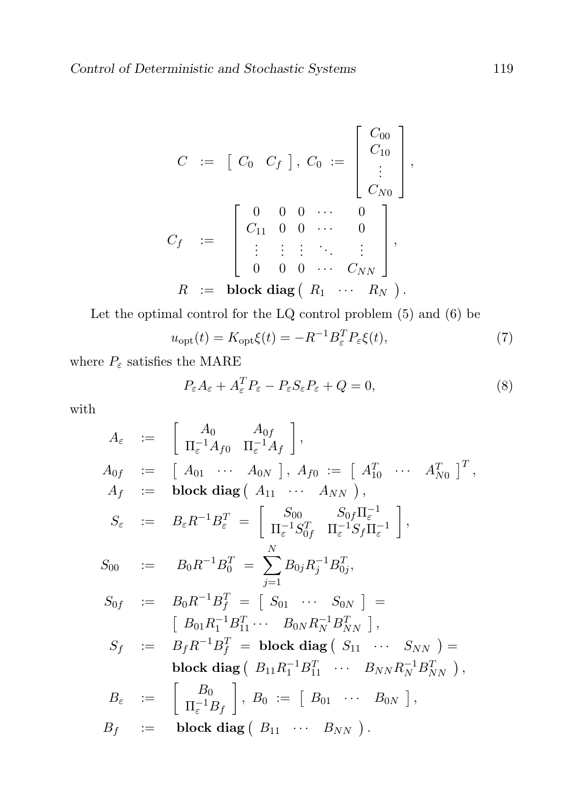$$
C := [C_0 \ C_f], C_0 := \begin{bmatrix} C_{00} \\ C_{10} \\ \vdots \\ C_{N0} \end{bmatrix},
$$
  

$$
C_f := \begin{bmatrix} 0 & 0 & 0 & \cdots & 0 \\ C_{11} & 0 & 0 & \cdots & 0 \\ \vdots & \vdots & \vdots & \ddots & \vdots \\ 0 & 0 & 0 & \cdots & C_{NN} \end{bmatrix},
$$
  

$$
R := \text{block diag} (R_1 \ \cdots \ R_N ).
$$

Let the optimal control for the LQ control problem (5) and (6) be

$$
u_{\rm opt}(t) = K_{\rm opt}\xi(t) = -R^{-1}B_{\varepsilon}^T P_{\varepsilon}\xi(t),\tag{7}
$$

where  $P_\varepsilon$  satisfies the MARE

$$
P_{\varepsilon}A_{\varepsilon} + A_{\varepsilon}^T P_{\varepsilon} - P_{\varepsilon}S_{\varepsilon}P_{\varepsilon} + Q = 0, \tag{8}
$$

with

$$
A_{\varepsilon} := \begin{bmatrix} A_{0} & A_{0f} \\ \Pi_{\varepsilon}^{-1}A_{f0} & \Pi_{\varepsilon}^{-1}A_{f} \end{bmatrix},
$$
  
\n
$$
A_{0f} := \begin{bmatrix} A_{01} & \cdots & A_{0N} \end{bmatrix}, A_{f0} := \begin{bmatrix} A_{10}^T & \cdots & A_{N0}^T \end{bmatrix}^T,
$$
  
\n
$$
A_{f} := \text{block diag}(A_{11} & \cdots & A_{NN}),
$$
  
\n
$$
S_{\varepsilon} := B_{\varepsilon}R^{-1}B_{\varepsilon}^T = \begin{bmatrix} S_{00} & S_{0f}\Pi_{\varepsilon}^{-1} \\ \Pi_{\varepsilon}^{-1}S_{0f}^T & \Pi_{\varepsilon}^{-1}S_{f}\Pi_{\varepsilon}^{-1} \end{bmatrix},
$$
  
\n
$$
S_{00} := B_{0}R^{-1}B_{0}^T = \sum_{j=1}^{N} B_{0j}R_{j}^{-1}B_{0j}^T,
$$
  
\n
$$
S_{0f} := B_{0}R^{-1}B_{f}^T = \begin{bmatrix} S_{01} & \cdots & S_{0N} \end{bmatrix} =
$$
  
\n
$$
\begin{bmatrix} B_{01}R_{1}^{-1}B_{11}^T & \cdots & B_{0N}R_{N}^{-1}B_{NN}^T \end{bmatrix},
$$
  
\n
$$
S_{f} := B_{f}R^{-1}B_{f}^T = \text{block diag}(S_{11} & \cdots & S_{NN}) =
$$
  
\n
$$
\text{block diag}(B_{11}R_{1}^{-1}B_{11}^T & \cdots & B_{NN}R_{N}^{-1}B_{NN}^T),
$$
  
\n
$$
B_{\varepsilon} := \begin{bmatrix} B_{0} \\ \Pi_{\varepsilon}^{-1}B_{f} \end{bmatrix}, B_{0} := \begin{bmatrix} B_{01} & \cdots & B_{0N} \end{bmatrix},
$$
  
\n
$$
B_{f} := \text{block diag}(B_{11} & \cdots & B_{NN}).
$$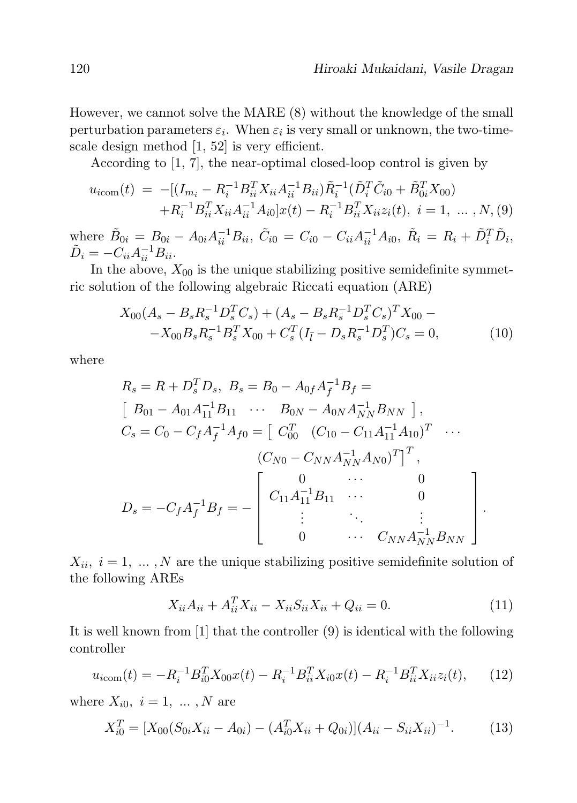However, we cannot solve the MARE (8) without the knowledge of the small perturbation parameters  $\varepsilon_i$ . When  $\varepsilon_i$  is very small or unknown, the two-timescale design method [1, 52] is very efficient.

According to [1, 7], the near-optimal closed-loop control is given by

$$
u_{i\text{com}}(t) = -[(I_{m_i} - R_i^{-1}B_{ii}^T X_{ii} A_{ii}^{-1} B_{ii})\tilde{R}_i^{-1} (\tilde{D}_i^T \tilde{C}_{i0} + \tilde{B}_{0i}^T X_{00})
$$
  
+  $R_i^{-1} B_{ii}^T X_{ii} A_{ii}^{-1} A_{i0}]x(t) - R_i^{-1} B_{ii}^T X_{ii} z_i(t), i = 1, ..., N, (9)$ 

where  $\tilde{B}_{0i} = B_{0i} - A_{0i} A_{ii}^{-1} B_{ii}, \ \tilde{C}_{i0} = C_{i0} - C_{ii} A_{ii}^{-1} A_{i0}, \ \tilde{R}_{i} = R_{i} + \tilde{D}_{i}^{T} \tilde{D}_{i},$  $\tilde{D}_i = -C_{ii}A_{ii}^{-1}B_{ii}.$ 

In the above,  $X_{00}$  is the unique stabilizing positive semidefinite symmetric solution of the following algebraic Riccati equation (ARE)

$$
X_{00}(A_s - B_s R_s^{-1} D_s^T C_s) + (A_s - B_s R_s^{-1} D_s^T C_s)^T X_{00} -X_{00} B_s R_s^{-1} B_s^T X_{00} + C_s^T (I_{\bar{l}} - D_s R_s^{-1} D_s^T) C_s = 0,
$$
\n(10)

where

$$
R_s = R + D_s^T D_s, \ B_s = B_0 - A_{0f} A_f^{-1} B_f =
$$
  
\n
$$
\begin{bmatrix} B_{01} - A_{01} A_{11}^{-1} B_{11} & \cdots & B_{0N} - A_{0N} A_{NN}^{-1} B_{NN} \end{bmatrix},
$$
  
\n
$$
C_s = C_0 - C_f A_f^{-1} A_{f0} = \begin{bmatrix} C_{00}^T & (C_{10} - C_{11} A_{11}^{-1} A_{10})^T & \cdots \\ (C_{N0} - C_{NN} A_{NN}^{-1} A_{N0})^T \end{bmatrix}^T,
$$
  
\n
$$
D_s = -C_f A_f^{-1} B_f = - \begin{bmatrix} 0 & \cdots & 0 \\ C_{11} A_{11}^{-1} B_{11} & \cdots & 0 \\ \vdots & \ddots & \vdots \\ 0 & \cdots & C_{NN} A_{NN}^{-1} B_{NN} \end{bmatrix}.
$$

 $X_{ii}, i = 1, ..., N$  are the unique stabilizing positive semidefinite solution of the following AREs

$$
X_{ii}A_{ii} + A_{ii}^T X_{ii} - X_{ii} S_{ii} X_{ii} + Q_{ii} = 0.
$$
 (11)

It is well known from [1] that the controller (9) is identical with the following controller

$$
u_{i\text{com}}(t) = -R_i^{-1}B_{i0}^T X_{00} x(t) - R_i^{-1}B_{ii}^T X_{i0} x(t) - R_i^{-1}B_{ii}^T X_{ii} z_i(t), \qquad (12)
$$

where  $X_{i0}$ ,  $i = 1, \ldots, N$  are

$$
X_{i0}^{T} = [X_{00}(S_{0i}X_{ii} - A_{0i}) - (A_{i0}^{T}X_{ii} + Q_{0i})](A_{ii} - S_{ii}X_{ii})^{-1}.
$$
 (13)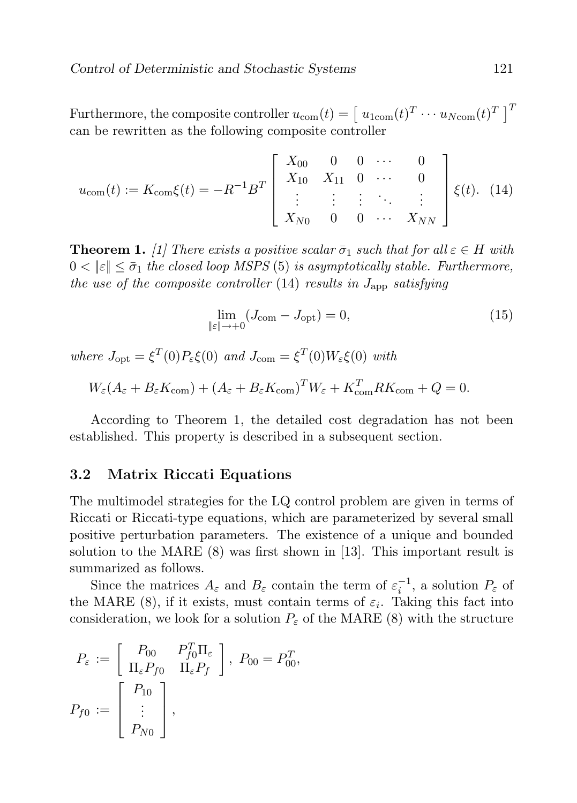Furthermore, the composite controller  $u_{\text{com}}(t) = \left[ u_{1\text{com}}(t)^T \cdots u_{N\text{com}}(t)^T \right]^T$ can be rewritten as the following composite controller

$$
u_{\text{com}}(t) := K_{\text{com}}\xi(t) = -R^{-1}B^{T} \begin{bmatrix} X_{00} & 0 & 0 & \cdots & 0 \\ X_{10} & X_{11} & 0 & \cdots & 0 \\ \vdots & \vdots & \vdots & \ddots & \vdots \\ X_{N0} & 0 & 0 & \cdots & X_{NN} \end{bmatrix} \xi(t). \tag{14}
$$

**Theorem 1.** [1] There exists a positive scalar  $\bar{\sigma}_1$  such that for all  $\varepsilon \in H$  with  $0 < ||\varepsilon|| \leq \bar{\sigma}_1$  the closed loop MSPS (5) is asymptotically stable. Furthermore, the use of the composite controller  $(14)$  results in  $J_{\rm app}$  satisfying

$$
\lim_{\|\varepsilon\| \to 0} (J_{\text{com}} - J_{\text{opt}}) = 0,\tag{15}
$$

where  $J_{\text{opt}} = \xi^T(0) P_{\varepsilon} \xi(0)$  and  $J_{\text{com}} = \xi^T(0) W_{\varepsilon} \xi(0)$  with

$$
W_{\varepsilon}(A_{\varepsilon} + B_{\varepsilon}K_{\text{com}}) + (A_{\varepsilon} + B_{\varepsilon}K_{\text{com}})^{T}W_{\varepsilon} + K_{\text{com}}^{T}RK_{\text{com}} + Q = 0.
$$

According to Theorem 1, the detailed cost degradation has not been established. This property is described in a subsequent section.

#### 3.2 Matrix Riccati Equations

The multimodel strategies for the LQ control problem are given in terms of Riccati or Riccati-type equations, which are parameterized by several small positive perturbation parameters. The existence of a unique and bounded solution to the MARE (8) was first shown in [13]. This important result is summarized as follows.

Since the matrices  $A_{\varepsilon}$  and  $B_{\varepsilon}$  contain the term of  $\varepsilon_i^{-1}$ , a solution  $P_{\varepsilon}$  of the MARE (8), if it exists, must contain terms of  $\varepsilon_i$ . Taking this fact into consideration, we look for a solution  $P_{\varepsilon}$  of the MARE (8) with the structure

$$
P_{\varepsilon} := \begin{bmatrix} P_{00} & P_{f0}^T \Pi_{\varepsilon} \\ \Pi_{\varepsilon} P_{f0} & \Pi_{\varepsilon} P_f \end{bmatrix}, \ P_{00} = P_{00}^T,
$$

$$
P_{f0} := \begin{bmatrix} P_{10} \\ \vdots \\ P_{N0} \end{bmatrix},
$$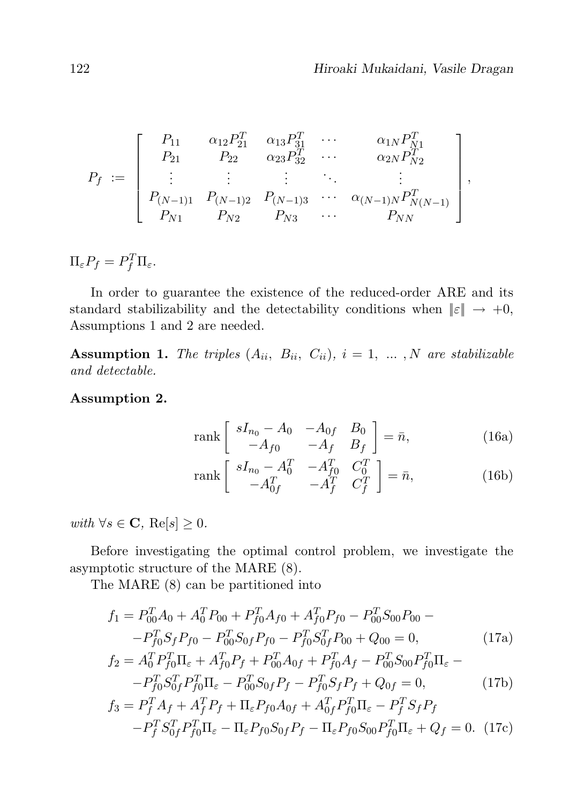$$
P_f := \begin{bmatrix} P_{11} & \alpha_{12} P_{21}^T & \alpha_{13} P_{31}^T & \cdots & \alpha_{1N} P_{N1}^T \\ P_{21} & P_{22} & \alpha_{23} P_{32}^T & \cdots & \alpha_{2N} P_{N2}^T \\ \vdots & \vdots & \vdots & \ddots & \vdots \\ P_{(N-1)1} & P_{(N-1)2} & P_{(N-1)3} & \cdots & \alpha_{(N-1)N} P_{N(N-1)}^T \\ P_{N1} & P_{N2} & P_{N3} & \cdots & P_{NN} \end{bmatrix},
$$

 $\Pi_{\varepsilon} P_f = P_f^T \Pi_{\varepsilon}.$ 

In order to guarantee the existence of the reduced-order ARE and its standard stabilizability and the detectability conditions when  $\|\varepsilon\| \to +0$ , Assumptions 1 and 2 are needed.

**Assumption 1.** The triples  $(A_{ii}, B_{ii}, C_{ii}), i = 1, ..., N$  are stabilizable and detectable.

#### Assumption 2.

$$
\operatorname{rank}\begin{bmatrix} sI_{n_0} - A_0 & -A_{0f} & B_0 \ -A_{f0} & -A_f & B_f \end{bmatrix} = \bar{n},\tag{16a}
$$

rank 
$$
\begin{bmatrix} sI_{n_0} - A_0^T & -A_{f0}^T & C_0^T \ -A_{0f}^T & -A_f^T & C_f^T \end{bmatrix} = \bar{n},
$$
 (16b)

with  $\forall s \in \mathbf{C}, \text{Re}[s] \geq 0.$ 

Before investigating the optimal control problem, we investigate the asymptotic structure of the MARE (8).

The MARE (8) can be partitioned into

$$
f_1 = P_{00}^T A_0 + A_0^T P_{00} + P_{f0}^T A_{f0} + A_{f0}^T P_{f0} - P_{00}^T S_{00} P_{00} --P_{f0}^T S_f P_{f0} - P_{00}^T S_{0f} P_{f0} - P_{f0}^T S_{0f}^T P_{00} + Q_{00} = 0,
$$
\n(17a)

$$
f_2 = A_0^T P_{f0}^T \Pi_{\varepsilon} + A_{f0}^T P_f + P_{00}^T A_{0f} + P_{f0}^T A_f - P_{00}^T S_{00} P_{f0}^T \Pi_{\varepsilon} -- P_{f0}^T S_{0f}^T P_{f0}^T \Pi_{\varepsilon} - P_{00}^T S_{0f} P_f - P_{f0}^T S_f P_f + Q_{0f} = 0,
$$
 (17b)

$$
f_3 = P_f^T A_f + A_f^T P_f + \Pi_{\varepsilon} P_{f0} A_{0f} + A_{0f}^T P_{f0}^T \Pi_{\varepsilon} - P_f^T S_f P_f
$$

$$
-P_f^T S_{0f}^T P_{f0}^T \Pi_{\varepsilon} - \Pi_{\varepsilon} P_{f0} S_{0f} P_f - \Pi_{\varepsilon} P_{f0} S_{00} P_{f0}^T \Pi_{\varepsilon} + Q_f = 0. \quad (17c)
$$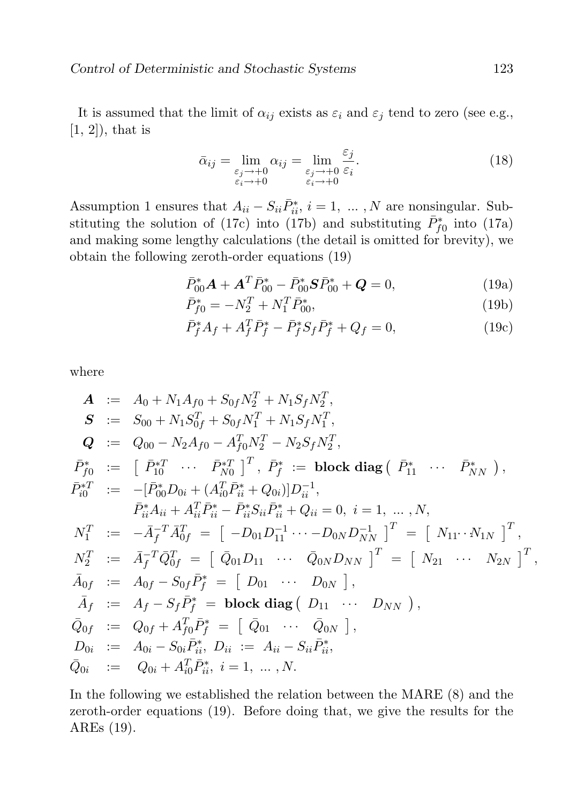It is assumed that the limit of  $\alpha_{ij}$  exists as  $\varepsilon_i$  and  $\varepsilon_j$  tend to zero (see e.g.,  $[1, 2]$ , that is

$$
\bar{\alpha}_{ij} = \lim_{\substack{\varepsilon_j \to +0 \\ \varepsilon_i \to +0}} \alpha_{ij} = \lim_{\substack{\varepsilon_j \to +0 \\ \varepsilon_i \to +0}} \frac{\varepsilon_j}{\varepsilon_i}.
$$
\n(18)

Assumption 1 ensures that  $A_{ii} - S_{ii} \overline{P}_{ii}^*, i = 1, ..., N$  are nonsingular. Substituting the solution of (17c) into (17b) and substituting  $\bar{P}_{f0}^*$  into (17a) and making some lengthy calculations (the detail is omitted for brevity), we obtain the following zeroth-order equations (19)

$$
\bar{P}_{00}^* \mathbf{A} + \mathbf{A}^T \bar{P}_{00}^* - \bar{P}_{00}^* \mathbf{S} \bar{P}_{00}^* + \mathbf{Q} = 0, \qquad (19a)
$$

$$
\bar{P}_{f0}^* = -N_2^T + N_1^T \bar{P}_{00}^*,\tag{19b}
$$

$$
\bar{P}_f^* A_f + A_f^T \bar{P}_f^* - \bar{P}_f^* S_f \bar{P}_f^* + Q_f = 0,
$$
\n(19c)

where

$$
A := A_0 + N_1 A_{f0} + S_{0f} N_2^T + N_1 S_f N_2^T,
$$
  
\n
$$
S := S_{00} + N_1 S_{0f}^T + S_{0f} N_1^T + N_1 S_f N_1^T,
$$
  
\n
$$
Q := Q_{00} - N_2 A_{f0} - A_{f0}^T N_2^T - N_2 S_f N_2^T,
$$
  
\n
$$
\bar{P}_{f0}^* := [ \bar{P}_{10}^* \cdots \bar{P}_{N0}^* ]^T, \ \bar{P}_{f}^* := \text{block diag} ( \bar{P}_{11}^* \cdots \bar{P}_{NN}^*) ,
$$
  
\n
$$
\bar{P}_{i0}^{*T} := -[\bar{P}_{00}^* D_{0i} + (A_{i0}^T \bar{P}_{i\dot{i}}^* + Q_{0i})] D_{ii}^{-1},
$$
  
\n
$$
\bar{P}_{i\dot{i}}^* A_{i\dot{i}} + A_{i\dot{i}}^T \bar{P}_{i\dot{i}}^* - \bar{P}_{i\dot{i}}^* S_{i\dot{i}} \bar{P}_{i\dot{i}}^* + Q_{i\dot{i}} = 0, \ i = 1, \dots, N,
$$
  
\n
$$
N_1^T := -\bar{A}_f^{-T} \bar{A}_{0f}^T = [-D_{01} D_{11}^{-1} \cdots - D_{0N} D_{NN}^{-1}]^T = [ N_{11} \cdots N_{1N} ]^T,
$$
  
\n
$$
N_2^T := \bar{A}_f^{-T} \bar{Q}_{0f}^T = [\bar{Q}_{01} D_{11} \cdots \bar{Q}_{0N} D_{NN} ]^T = [ N_{21} \cdots N_{2N} ]^T,
$$
  
\n
$$
\bar{A}_{0f} := A_{0f} - S_{0f} \bar{P}_{f}^* = [ D_{01} \cdots D_{0N} ],
$$
  
\n
$$
\bar{Q}_{0f} := Q_{0f} + A_{f0}^T \bar{P}_{f}^* = [\bar{Q}_{01} \cdots \bar{Q}_{0N} ],
$$
  
\n
$$
D_{0i} := A_{0i} - S_{0i} \bar{P}_{i\dot{i}}^*, D_{ii} := A_{ii} -
$$

In the following we established the relation between the MARE (8) and the zeroth-order equations (19). Before doing that, we give the results for the AREs (19).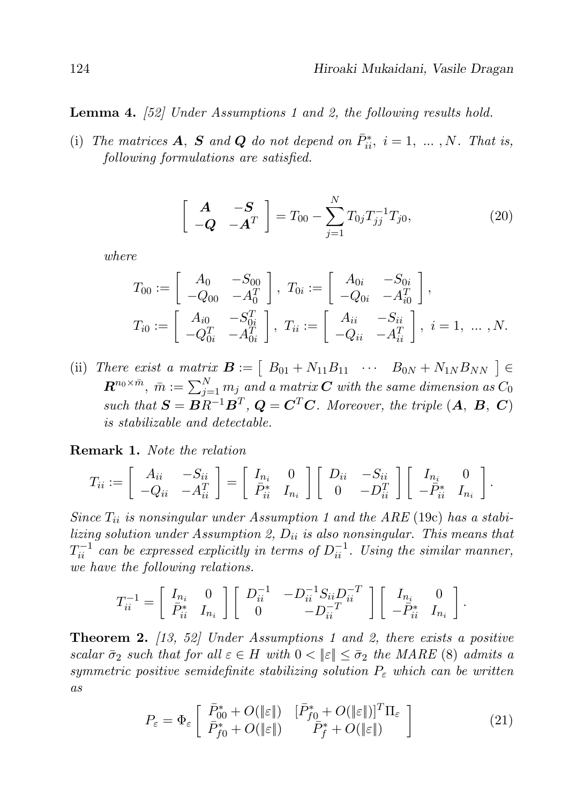**Lemma 4.** [52] Under Assumptions 1 and 2, the following results hold.

(i) The matrices **A**, **S** and **Q** do not depend on  $\bar{P}_{ii}^*$ ,  $i = 1, ..., N$ . That is, following formulations are satisfied.

$$
\begin{bmatrix}\n\mathbf{A} & -\mathbf{S} \\
-\mathbf{Q} & -\mathbf{A}^T\n\end{bmatrix} = T_{00} - \sum_{j=1}^N T_{0j} T_{jj}^{-1} T_{j0},
$$
\n(20)

where

$$
T_{00} := \begin{bmatrix} A_0 & -S_{00} \ -Q_{00} & -A_0^T \end{bmatrix}, \ T_{0i} := \begin{bmatrix} A_{0i} & -S_{0i} \ -Q_{0i} & -A_{i0}^T \end{bmatrix},
$$
  
\n
$$
T_{i0} := \begin{bmatrix} A_{i0} & -S_{0i}^T \ -Q_{0i}^T & -A_{0i}^T \end{bmatrix}, \ T_{ii} := \begin{bmatrix} A_{ii} & -S_{ii} \ -Q_{ii} & -A_{ii}^T \end{bmatrix}, \ i = 1, \dots, N.
$$

(ii) There exist a matrix  $\mathbf{B} := \begin{bmatrix} B_{01} + N_{11}B_{11} & \cdots & B_{0N} + N_{1N}B_{NN} \end{bmatrix} \in$  $\boldsymbol{R}^{n_0\times \bar{m}},\ \bar{m}:=\sum_{j=1}^Nm_j$  and a matrix  $\boldsymbol{C}$  with the same dimension as  $C_0$ such that  $S = BR^{-1}B^T$ ,  $Q = C^T C$ . Moreover, the triple  $(A, B, C)$ is stabilizable and detectable.

#### Remark 1. Note the relation

$$
T_{ii} := \left[ \begin{array}{cc} A_{ii} & -S_{ii} \\ -Q_{ii} & -A_{ii}^T \end{array} \right] = \left[ \begin{array}{cc} I_{n_i} & 0 \\ \bar{P}_{ii}^* & I_{n_i} \end{array} \right] \left[ \begin{array}{cc} D_{ii} & -S_{ii} \\ 0 & -D_{ii}^T \end{array} \right] \left[ \begin{array}{cc} I_{n_i} & 0 \\ -\bar{P}_{ii}^* & I_{n_i} \end{array} \right].
$$

Since  $T_{ii}$  is nonsingular under Assumption 1 and the ARE (19c) has a stabilizing solution under Assumption 2,  $D_{ii}$  is also nonsingular. This means that  $T_{ii}^{-1}$  can be expressed explicitly in terms of  $D_{ii}^{-1}$ . Using the similar manner, we have the following relations.

$$
T_{ii}^{-1} = \begin{bmatrix} I_{n_i} & 0 \\ \bar{P}_{ii}^* & I_{n_i} \end{bmatrix} \begin{bmatrix} D_{ii}^{-1} & -D_{ii}^{-1} S_{ii} D_{ii}^{-T} \\ 0 & -D_{ii}^{-T} \end{bmatrix} \begin{bmatrix} I_{n_i} & 0 \\ -\bar{P}_{ii}^* & I_{n_i} \end{bmatrix}.
$$

**Theorem 2.** [13, 52] Under Assumptions 1 and 2, there exists a positive scalar  $\bar{\sigma}_2$  such that for all  $\varepsilon \in H$  with  $0 < ||\varepsilon|| \leq \bar{\sigma}_2$  the MARE (8) admits a symmetric positive semidefinite stabilizing solution  $P_{\varepsilon}$  which can be written as

$$
P_{\varepsilon} = \Phi_{\varepsilon} \left[ \begin{array}{cc} \bar{P}_{00}^{*} + O(\|\varepsilon\|) & [\bar{P}_{f0}^{*} + O(\|\varepsilon\|)]^{T} \Pi_{\varepsilon} \\ \bar{P}_{f0}^{*} + O(\|\varepsilon\|) & \bar{P}_{f}^{*} + O(\|\varepsilon\|) \end{array} \right] \tag{21}
$$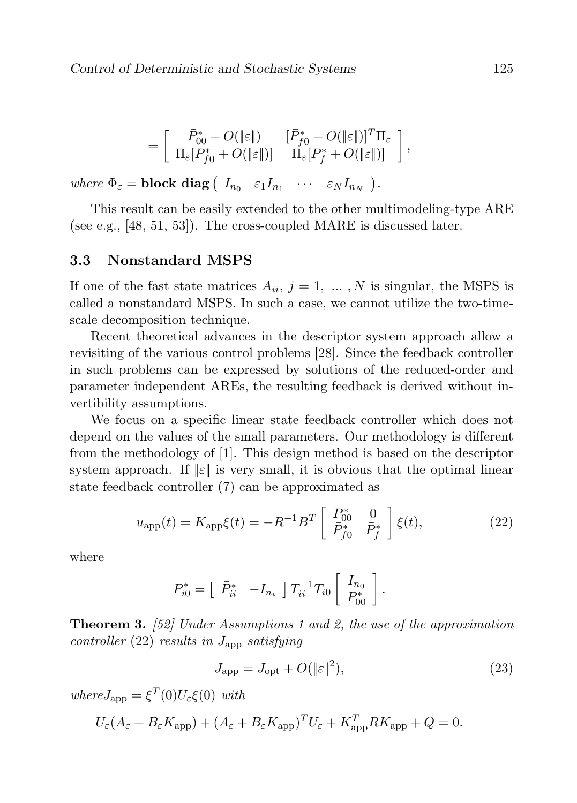$$
=\left[\begin{array}{cc} \bar{P}_{00}^*+O(\|\varepsilon\|) & [\bar{P}_{f0}^*+O(\|\varepsilon\|)]^T\Pi_\varepsilon \\ \Pi_\varepsilon[\bar{P}_{f0}^*+O(\|\varepsilon\|)] & \Pi_\varepsilon[\bar{P}_{f}^*+O(\|\varepsilon\|)] \end{array}\right],
$$

where  $\Phi_{\varepsilon} = \textbf{block diag} \left( I_{n_0} \varepsilon_1 I_{n_1} \cdots \varepsilon_N I_{n_N} \right)$ .

This result can be easily extended to the other multimodeling-type ARE (see e.g., [48, 51, 53]). The cross-coupled MARE is discussed later.

#### 3.3 Nonstandard MSPS

If one of the fast state matrices  $A_{ii}$ ,  $j = 1, \ldots, N$  is singular, the MSPS is called a nonstandard MSPS. In such a case, we cannot utilize the two-timescale decomposition technique.

Recent theoretical advances in the descriptor system approach allow a revisiting of the various control problems [28]. Since the feedback controller in such problems can be expressed by solutions of the reduced-order and parameter independent AREs, the resulting feedback is derived without invertibility assumptions.

We focus on a specific linear state feedback controller which does not depend on the values of the small parameters. Our methodology is different from the methodology of [1]. This design method is based on the descriptor system approach. If  $\|\varepsilon\|$  is very small, it is obvious that the optimal linear state feedback controller (7) can be approximated as

$$
u_{\rm app}(t) = K_{\rm app} \xi(t) = -R^{-1} B^T \begin{bmatrix} \bar{P}_{00}^* & 0\\ \bar{P}_{f0}^* & \bar{P}_{f}^* \end{bmatrix} \xi(t), \tag{22}
$$

where

$$
\bar{P}_{i0}^* = \begin{bmatrix} \bar{P}_{ii}^* & -I_{n_i} \end{bmatrix} T_{ii}^{-1} T_{i0} \begin{bmatrix} I_{n_0} \\ \bar{P}_{00}^* \end{bmatrix}.
$$

**Theorem 3.** [52] Under Assumptions 1 and 2, the use of the approximation controller  $(22)$  results in  $J_{\rm app}$  satisfying

$$
J_{\rm app} = J_{\rm opt} + O(\|\varepsilon\|^2),\tag{23}
$$

 $where J_{app} = \xi^T(0) U_{\varepsilon} \xi(0)$  with

 $U_{\varepsilon}(A_{\varepsilon} + B_{\varepsilon} K_{\text{app}}) + (A_{\varepsilon} + B_{\varepsilon} K_{\text{app}})^T U_{\varepsilon} + K_{\text{app}}^T R K_{\text{app}} + Q = 0.$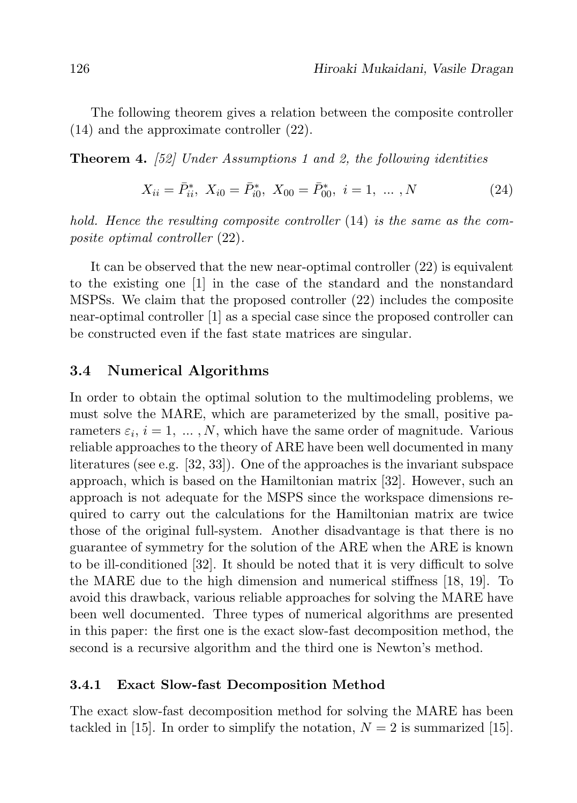The following theorem gives a relation between the composite controller (14) and the approximate controller (22).

Theorem 4. [52] Under Assumptions 1 and 2, the following identities

$$
X_{ii} = \bar{P}_{ii}^*, \ X_{i0} = \bar{P}_{i0}^*, \ X_{00} = \bar{P}_{00}^*, \ i = 1, \ \dots \ , N \tag{24}
$$

hold. Hence the resulting composite controller (14) is the same as the composite optimal controller (22).

It can be observed that the new near-optimal controller (22) is equivalent to the existing one [1] in the case of the standard and the nonstandard MSPSs. We claim that the proposed controller (22) includes the composite near-optimal controller [1] as a special case since the proposed controller can be constructed even if the fast state matrices are singular.

### 3.4 Numerical Algorithms

In order to obtain the optimal solution to the multimodeling problems, we must solve the MARE, which are parameterized by the small, positive parameters  $\varepsilon_i$ ,  $i = 1, \ldots, N$ , which have the same order of magnitude. Various reliable approaches to the theory of ARE have been well documented in many literatures (see e.g. [32, 33]). One of the approaches is the invariant subspace approach, which is based on the Hamiltonian matrix [32]. However, such an approach is not adequate for the MSPS since the workspace dimensions required to carry out the calculations for the Hamiltonian matrix are twice those of the original full-system. Another disadvantage is that there is no guarantee of symmetry for the solution of the ARE when the ARE is known to be ill-conditioned [32]. It should be noted that it is very difficult to solve the MARE due to the high dimension and numerical stiffness [18, 19]. To avoid this drawback, various reliable approaches for solving the MARE have been well documented. Three types of numerical algorithms are presented in this paper: the first one is the exact slow-fast decomposition method, the second is a recursive algorithm and the third one is Newton's method.

#### 3.4.1 Exact Slow-fast Decomposition Method

The exact slow-fast decomposition method for solving the MARE has been tackled in [15]. In order to simplify the notation,  $N = 2$  is summarized [15].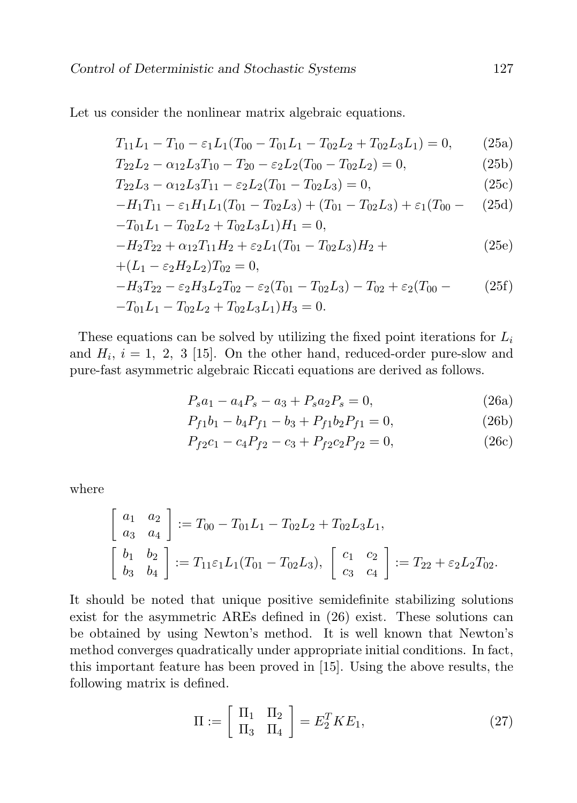Let us consider the nonlinear matrix algebraic equations.

$$
T_{11}L_1 - T_{10} - \varepsilon_1 L_1 (T_{00} - T_{01}L_1 - T_{02}L_2 + T_{02}L_3L_1) = 0, \qquad (25a)
$$

$$
T_{22}L_2 - \alpha_{12}L_3T_{10} - T_{20} - \varepsilon_2 L_2(T_{00} - T_{02}L_2) = 0,
$$
\n(25b)

$$
T_{22}L_3 - \alpha_{12}L_3T_{11} - \varepsilon_2 L_2(T_{01} - T_{02}L_3) = 0, \qquad (25c)
$$

$$
-H_1T_{11} - \varepsilon_1 H_1L_1(T_{01} - T_{02}L_3) + (T_{01} - T_{02}L_3) + \varepsilon_1(T_{00} - (25d) - T_{01}L_1 - T_{02}L_2 + T_{02}L_3L_1)H_1 = 0,
$$

$$
-H_2T_{22} + \alpha_{12}T_{11}H_2 + \varepsilon_2 L_1(T_{01} - T_{02}L_3)H_2 +
$$
  
+
$$
(25e)
$$
  
+
$$
(L_1 - \varepsilon_2 H_2L_2)T_{02} = 0.
$$

$$
-H_3T_{22} - \varepsilon_2 H_3L_2T_{02} - \varepsilon_2(T_{01} - T_{02}L_3) - T_{02} + \varepsilon_2(T_{00} - T_{01}L_1 - T_{02}L_2 + T_{02}L_3L_1)H_3 = 0.
$$
\n(25f)

These equations can be solved by utilizing the fixed point iterations for  $L_i$ and  $H_i$ ,  $i = 1, 2, 3$  [15]. On the other hand, reduced-order pure-slow and pure-fast asymmetric algebraic Riccati equations are derived as follows.

$$
P_s a_1 - a_4 P_s - a_3 + P_s a_2 P_s = 0,
$$
\n(26a)

$$
P_{f1}b_1 - b_4P_{f1} - b_3 + P_{f1}b_2P_{f1} = 0,
$$
\n(26b)

$$
P_{f2}c_1 - c_4P_{f2} - c_3 + P_{f2}c_2P_{f2} = 0,
$$
\n(26c)

where

$$
\begin{bmatrix} a_1 & a_2 \ a_3 & a_4 \end{bmatrix} := T_{00} - T_{01}L_1 - T_{02}L_2 + T_{02}L_3L_1,
$$
  
\n
$$
\begin{bmatrix} b_1 & b_2 \ b_3 & b_4 \end{bmatrix} := T_{11}\varepsilon_1 L_1(T_{01} - T_{02}L_3), \begin{bmatrix} c_1 & c_2 \ c_3 & c_4 \end{bmatrix} := T_{22} + \varepsilon_2 L_2T_{02}.
$$

It should be noted that unique positive semidefinite stabilizing solutions exist for the asymmetric AREs defined in (26) exist. These solutions can be obtained by using Newton's method. It is well known that Newton's method converges quadratically under appropriate initial conditions. In fact, this important feature has been proved in [15]. Using the above results, the following matrix is defined.

$$
\Pi := \left[ \begin{array}{cc} \Pi_1 & \Pi_2 \\ \Pi_3 & \Pi_4 \end{array} \right] = E_2^T K E_1,\tag{27}
$$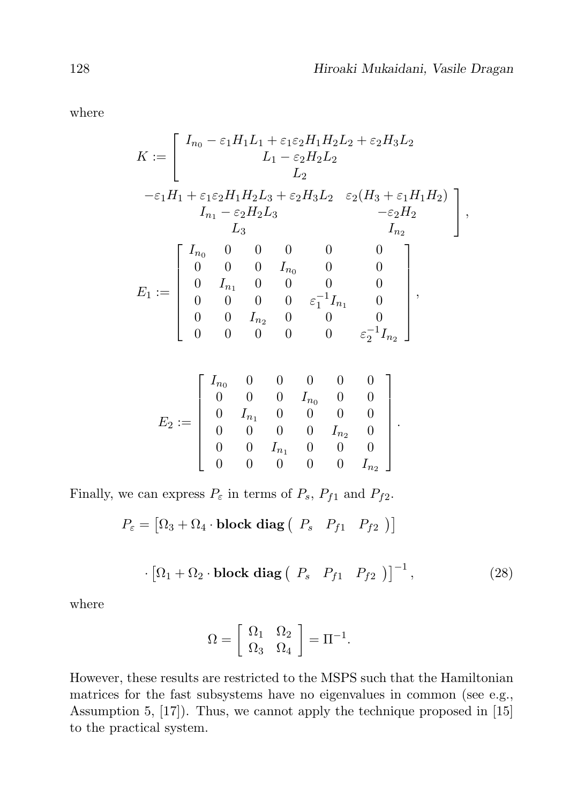.

where

$$
K := \begin{bmatrix} I_{n_0} - \varepsilon_1 H_1 L_1 + \varepsilon_1 \varepsilon_2 H_1 H_2 L_2 + \varepsilon_2 H_3 L_2 \\ L_1 - \varepsilon_2 H_2 L_2 \\ L_2 \end{bmatrix}
$$
  
\n
$$
- \varepsilon_1 H_1 + \varepsilon_1 \varepsilon_2 H_1 H_2 L_3 + \varepsilon_2 H_3 L_2 \quad \varepsilon_2 (H_3 + \varepsilon_1 H_1 H_2) \\ I_{n_1} - \varepsilon_2 H_2 L_3 \qquad - \varepsilon_2 H_2
$$
  
\n
$$
L_3 \qquad I_{n_2}
$$
  
\n
$$
E_1 := \begin{bmatrix} I_{n_0} & 0 & 0 & 0 & 0 & 0 \\ 0 & 0 & 0 & I_{n_0} & 0 & 0 \\ 0 & I_{n_1} & 0 & 0 & 0 & 0 \\ 0 & 0 & 0 & 0 & \varepsilon_1^{-1} I_{n_1} & 0 \\ 0 & 0 & I_{n_2} & 0 & 0 & 0 \\ 0 & 0 & 0 & 0 & \varepsilon_2^{-1} I_{n_2} \end{bmatrix},
$$

$$
E_2:=\left[\begin{array}{cccccc}I_{n_0}&0&0&0&0&0\\0&0&0&I_{n_0}&0&0\\0&I_{n_1}&0&0&0&0\\0&0&0&0&I_{n_2}&0\\0&0&I_{n_1}&0&0&0\\0&0&0&0&0&I_{n_2}\end{array}\right]
$$

Finally, we can express  $P_{\varepsilon}$  in terms of  $P_s$ ,  $P_{f1}$  and  $P_{f2}$ .

$$
P_{\varepsilon} = [\Omega_3 + \Omega_4 \cdot \text{block diag} \left( P_s \quad P_{f1} \quad P_{f2} \right) ]
$$

$$
\cdot \left[ \Omega_1 + \Omega_2 \cdot \textbf{block diag} \left( P_s \quad P_{f1} \quad P_{f2} \right) \right]^{-1}, \tag{28}
$$

where

$$
\Omega = \left[ \begin{array}{cc} \Omega_1 & \Omega_2 \\ \Omega_3 & \Omega_4 \end{array} \right] = \Pi^{-1}.
$$

However, these results are restricted to the MSPS such that the Hamiltonian matrices for the fast subsystems have no eigenvalues in common (see e.g., Assumption 5, [17]). Thus, we cannot apply the technique proposed in [15] to the practical system.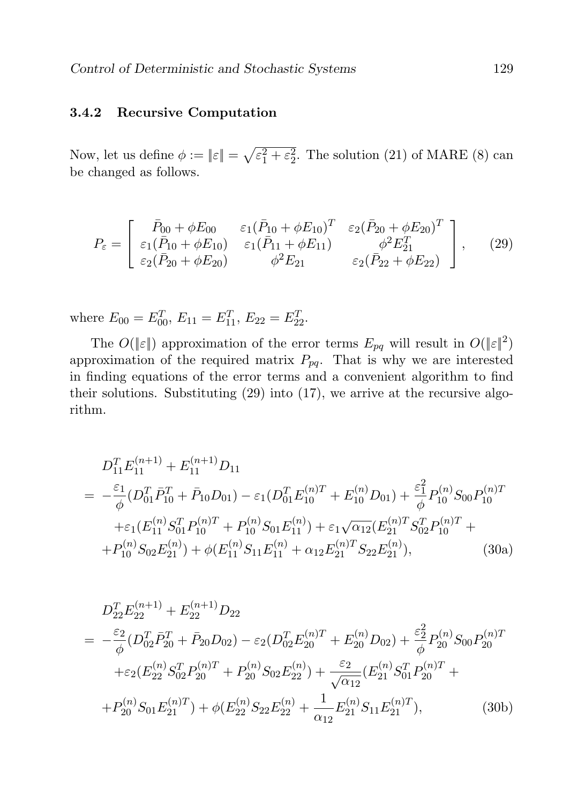#### 3.4.2 Recursive Computation

Now, let us define  $\phi := ||\varepsilon|| = \sqrt{\varepsilon_1^2 + \varepsilon_2^2}$ . The solution (21) of MARE (8) can be changed as follows.

$$
P_{\varepsilon} = \begin{bmatrix} \bar{P}_{00} + \phi E_{00} & \varepsilon_{1} (\bar{P}_{10} + \phi E_{10})^{T} & \varepsilon_{2} (\bar{P}_{20} + \phi E_{20})^{T} \\ \varepsilon_{1} (\bar{P}_{10} + \phi E_{10}) & \varepsilon_{1} (\bar{P}_{11} + \phi E_{11}) & \phi^{2} E_{21}^{T} \\ \varepsilon_{2} (\bar{P}_{20} + \phi E_{20}) & \phi^{2} E_{21} & \varepsilon_{2} (\bar{P}_{22} + \phi E_{22}) \end{bmatrix}, \quad (29)
$$

where  $E_{00} = E_{00}^T$ ,  $E_{11} = E_{11}^T$ ,  $E_{22} = E_{22}^T$ .

The  $O(\|\varepsilon\|)$  approximation of the error terms  $E_{pq}$  will result in  $O(|\varepsilon|^2)$ approximation of the required matrix  $P_{pq}$ . That is why we are interested in finding equations of the error terms and a convenient algorithm to find their solutions. Substituting (29) into (17), we arrive at the recursive algorithm.

$$
D_{11}^T E_{11}^{(n+1)} + E_{11}^{(n+1)} D_{11}
$$
  
=  $-\frac{\varepsilon_1}{\phi} (D_{01}^T \bar{P}_{10}^T + \bar{P}_{10} D_{01}) - \varepsilon_1 (D_{01}^T E_{10}^{(n)T} + E_{10}^{(n)} D_{01}) + \frac{\varepsilon_1^2}{\phi} P_{10}^{(n)} S_{00} P_{10}^{(n)T}$   
+  $\varepsilon_1 (E_{11}^{(n)} S_{01}^T P_{10}^{(n)T} + P_{10}^{(n)} S_{01} E_{11}^{(n)}) + \varepsilon_1 \sqrt{\alpha_{12}} (E_{21}^{(n)T} S_{02}^T P_{10}^{(n)T} +$   
+  $P_{10}^{(n)} S_{02} E_{21}^{(n)}) + \phi (E_{11}^{(n)} S_{11} E_{11}^{(n)} + \alpha_{12} E_{21}^{(n)T} S_{22} E_{21}^{(n)}),$  (30a)

$$
D_{22}^{T}E_{22}^{(n+1)} + E_{22}^{(n+1)}D_{22}
$$
  
=  $-\frac{\varepsilon_2}{\phi}(D_{02}^{T}\bar{P}_{20}^{T} + \bar{P}_{20}D_{02}) - \varepsilon_2(D_{02}^{T}E_{20}^{(n)T} + E_{20}^{(n)}D_{02}) + \frac{\varepsilon_2^2}{\phi}P_{20}^{(n)}S_{00}P_{20}^{(n)T}$   
+ $\varepsilon_2(E_{22}^{(n)}S_{02}^{T}P_{20}^{(n)T} + P_{20}^{(n)}S_{02}E_{22}^{(n)}) + \frac{\varepsilon_2}{\sqrt{\alpha_{12}}}(E_{21}^{(n)}S_{01}^{T}P_{20}^{(n)T} +$   
+ $P_{20}^{(n)}S_{01}E_{21}^{(n)T}) + \phi(E_{22}^{(n)}S_{22}E_{22}^{(n)} + \frac{1}{\alpha_{12}}E_{21}^{(n)}S_{11}E_{21}^{(n)T}),$  (30b)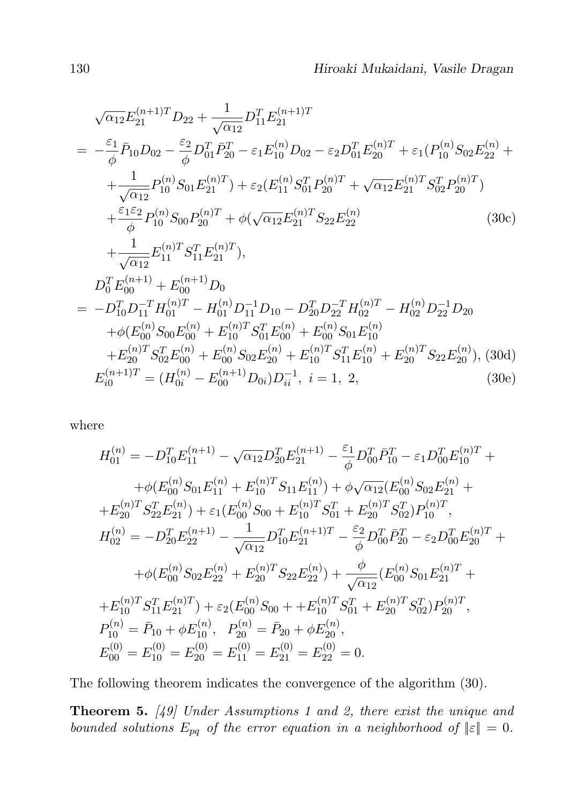$$
\sqrt{\alpha_{12}}E_{21}^{(n+1)T}D_{22} + \frac{1}{\sqrt{\alpha_{12}}}D_{11}^{T}E_{21}^{(n+1)T}
$$
\n
$$
= -\frac{\varepsilon_{1}}{\phi}\bar{P}_{10}D_{02} - \frac{\varepsilon_{2}}{\phi}D_{01}^{T}\bar{P}_{20}^{T} - \varepsilon_{1}E_{10}^{(n)}D_{02} - \varepsilon_{2}D_{01}^{T}E_{20}^{(n)T} + \varepsilon_{1}(P_{10}^{(n)}S_{02}E_{22}^{(n)} + \frac{1}{\sqrt{\alpha_{12}}}P_{10}^{(n)}S_{01}E_{21}^{(n)T}) + \varepsilon_{2}(E_{11}^{(n)}S_{01}^{T}P_{20}^{(n)T} + \sqrt{\alpha_{12}}E_{21}^{(n)T}S_{02}^{T}P_{20}^{(n)T})
$$
\n
$$
+ \frac{\varepsilon_{1}\varepsilon_{2}}{\phi}P_{10}^{(n)}S_{00}P_{20}^{(n)T} + \phi(\sqrt{\alpha_{12}}E_{21}^{(n)T}S_{22}E_{22}^{(n)} \qquad (30c)
$$
\n
$$
+ \frac{1}{\sqrt{\alpha_{12}}}E_{11}^{(n)T}S_{11}^{T}E_{21}^{(n)T}),
$$
\n
$$
D_{0}^{T}E_{00}^{(n+1)} + E_{00}^{(n+1)}D_{0}
$$
\n
$$
= -D_{10}^{T}D_{11}^{-T}H_{01}^{(n)T} - H_{01}^{(n)}D_{11}^{-1}D_{10} - D_{20}^{T}D_{22}^{-T}H_{02}^{(n)T} - H_{02}^{(n)}D_{22}^{-1}D_{20}
$$
\n
$$
+ \phi(E_{00}^{(n)}S_{00}E_{00}^{(n)} + E_{10}^{(n)T}S_{01}^{T}E_{00}^{(n)} + E_{00}^{(n)}S_{01}E_{10}^{(n)}
$$
\n
$$
+ E_{20}^{(n)T}S_{02}^{T}E_{00}^{(n)} + E_{00}
$$

where

$$
H_{01}^{(n)} = -D_{10}^T E_{11}^{(n+1)} - \sqrt{\alpha_{12}} D_{20}^T E_{21}^{(n+1)} - \frac{\varepsilon_1}{\phi} D_{00}^T \bar{P}_{10}^T - \varepsilon_1 D_{00}^T E_{10}^{(n)T} +
$$
  
\n
$$
+ \phi(E_{00}^{(n)} S_{01} E_{11}^{(n)} + E_{10}^{(n)T} S_{11} E_{11}^{(n)}) + \phi \sqrt{\alpha_{12}} (E_{00}^{(n)} S_{02} E_{21}^{(n)} +
$$
  
\n
$$
+ E_{20}^{(n)T} S_{22}^T E_{21}^{(n)}) + \varepsilon_1 (E_{00}^{(n)} S_{00} + E_{10}^{(n)T} S_{01}^T + E_{20}^{(n)T} S_{02}^T) P_{10}^{(n)T},
$$
  
\n
$$
H_{02}^{(n)} = -D_{20}^T E_{22}^{(n+1)} - \frac{1}{\sqrt{\alpha_{12}}} D_{10}^T E_{21}^{(n+1)T} - \frac{\varepsilon_2}{\phi} D_{00}^T \bar{P}_{20}^T - \varepsilon_2 D_{00}^T E_{20}^{(n)T} +
$$
  
\n
$$
+ \phi(E_{00}^{(n)} S_{02} E_{22}^{(n)} + E_{20}^{(n)T} S_{22} E_{22}^{(n)}) + \frac{\phi}{\sqrt{\alpha_{12}}} (E_{00}^{(n)} S_{01} E_{21}^{(n)T} +
$$
  
\n
$$
+ E_{10}^{(n)T} S_{11}^T E_{21}^{(n)T}) + \varepsilon_2 (E_{00}^{(n)} S_{00} + + E_{10}^{(n)T} S_{01}^T + E_{20}^{(n)T} S_{02}^T) P_{20}^{(n)T},
$$
  
\n
$$
P_{10}^{(n)} = \bar{P}_{10} + \phi E_{10}^{(n)}, \quad P_{20}^{(n)} = \bar{P}_{20} + \phi E_{20}^{(n)},
$$
  
\n<math display="</math>

The following theorem indicates the convergence of the algorithm (30).

Theorem 5. [49] Under Assumptions 1 and 2, there exist the unique and bounded solutions  $E_{pq}$  of the error equation in a neighborhood of  $||\varepsilon|| = 0$ .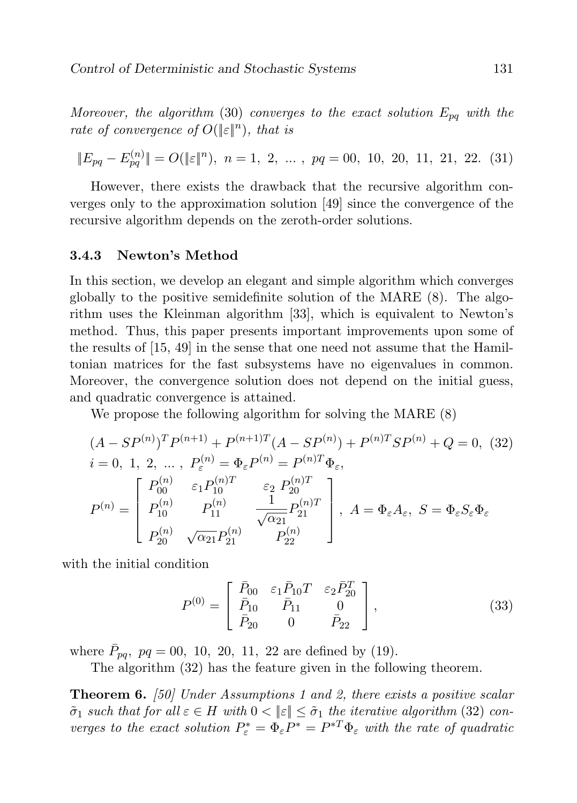Moreover, the algorithm (30) converges to the exact solution  $E_{pq}$  with the rate of convergence of  $O(|\epsilon|^n)$ , that is

$$
||E_{pq} - E_{pq}^{(n)}|| = O(||\varepsilon||^n), \ n = 1, 2, \dots, pq = 00, 10, 20, 11, 21, 22. (31)
$$

However, there exists the drawback that the recursive algorithm converges only to the approximation solution [49] since the convergence of the recursive algorithm depends on the zeroth-order solutions.

#### 3.4.3 Newton's Method

In this section, we develop an elegant and simple algorithm which converges globally to the positive semidefinite solution of the MARE (8). The algorithm uses the Kleinman algorithm [33], which is equivalent to Newton's method. Thus, this paper presents important improvements upon some of the results of [15, 49] in the sense that one need not assume that the Hamiltonian matrices for the fast subsystems have no eigenvalues in common. Moreover, the convergence solution does not depend on the initial guess, and quadratic convergence is attained.

We propose the following algorithm for solving the MARE (8)

$$
(A - SP^{(n)})^T P^{(n+1)} + P^{(n+1)T} (A - SP^{(n)}) + P^{(n)T} SP^{(n)} + Q = 0, (32)
$$
  
\n
$$
i = 0, 1, 2, ..., P_{\varepsilon}^{(n)} = \Phi_{\varepsilon} P^{(n)} = P^{(n)T} \Phi_{\varepsilon},
$$
  
\n
$$
P^{(n)} = \begin{bmatrix} P_{00}^{(n)} & \varepsilon_1 P_{10}^{(n)T} & \varepsilon_2 P_{20}^{(n)T} \\ P_{10}^{(n)} & P_{11}^{(n)} & \frac{1}{\sqrt{\alpha_{21}}} P_{21}^{(n)T} \\ P_{20}^{(n)} & \sqrt{\alpha_{21}} P_{21}^{(n)} & P_{22}^{(n)} \end{bmatrix}, A = \Phi_{\varepsilon} A_{\varepsilon}, S = \Phi_{\varepsilon} S_{\varepsilon} \Phi_{\varepsilon}
$$

with the initial condition

$$
P^{(0)} = \begin{bmatrix} \bar{P}_{00} & \varepsilon_1 \bar{P}_{10} T & \varepsilon_2 \bar{P}_{20}^T \\ \bar{P}_{10} & \bar{P}_{11} & 0 \\ \bar{P}_{20} & 0 & \bar{P}_{22} \end{bmatrix},
$$
\n(33)

where  $\bar{P}_{pq}, \ pq = 00, 10, 20, 11, 22$  are defined by (19).

The algorithm (32) has the feature given in the following theorem.

**Theorem 6.** [50] Under Assumptions 1 and 2, there exists a positive scalar  $\tilde{\sigma}_1$  such that for all  $\varepsilon \in H$  with  $0 < ||\varepsilon|| \leq \tilde{\sigma}_1$  the iterative algorithm (32) converges to the exact solution  $P_{\varepsilon}^* = \Phi_{\varepsilon} P^* = P^{*T} \Phi_{\varepsilon}$  with the rate of quadratic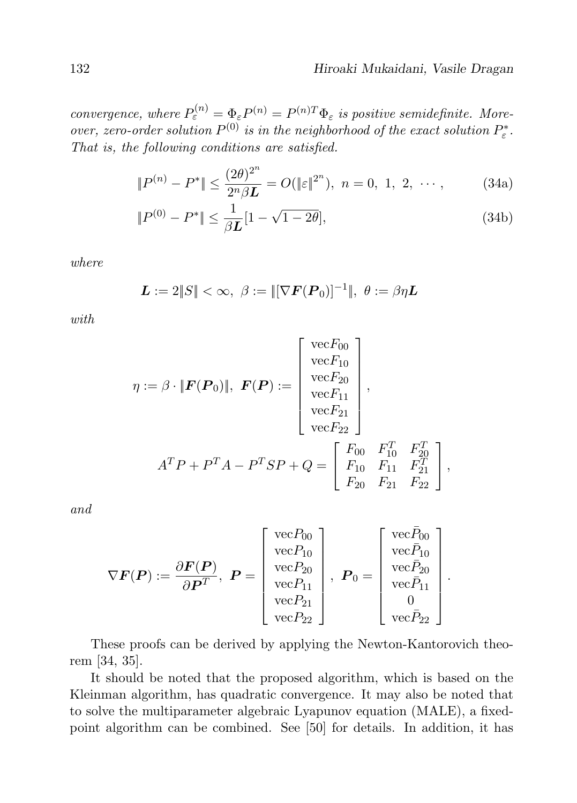.

convergence, where  $P_{\varepsilon}^{(n)} = \Phi_{\varepsilon} P^{(n)} = P^{(n)T} \Phi_{\varepsilon}$  is positive semidefinite. Moreover, zero-order solution  $P^{(0)}$  is in the neighborhood of the exact solution  $P_{\varepsilon}^*$ . That is, the following conditions are satisfied.

$$
||P^{(n)} - P^*|| \le \frac{(2\theta)^{2^n}}{2^n \beta L} = O(||\varepsilon||^{2^n}), \ n = 0, 1, 2, \cdots,
$$
 (34a)

$$
||P^{(0)} - P^*|| \le \frac{1}{\beta L} [1 - \sqrt{1 - 2\theta}], \tag{34b}
$$

where

$$
L := 2||S|| < \infty, \ \beta := ||[\nabla F(\mathbf{P}_0)]^{-1}||, \ \theta := \beta \eta L
$$

with

$$
\eta := \beta \cdot ||\mathbf{F}(\mathbf{P}_0)||, \mathbf{F}(\mathbf{P}) := \begin{bmatrix} \text{vec}F_{00} \\ \text{vec}F_{10} \\ \text{vec}F_{20} \\ \text{vec}F_{21} \\ \text{vec}F_{22} \end{bmatrix},
$$

$$
A^T P + P^T A - P^T S P + Q = \begin{bmatrix} F_{00} & F_{10}^T & F_{20}^T \\ F_{10} & F_{11} & F_{21}^T \\ F_{20} & F_{21} & F_{22} \end{bmatrix},
$$

and

$$
\nabla \boldsymbol{F}(\boldsymbol{P}) := \frac{\partial \boldsymbol{F}(\boldsymbol{P})}{\partial \boldsymbol{P}^T}, \ \boldsymbol{P} = \left[\begin{array}{c} \text{vec}P_{00} \\ \text{vec}P_{10} \\ \text{vec}P_{20} \\ \text{vec}P_{21} \\ \text{vec}P_{22} \end{array}\right], \ \ \boldsymbol{P}_0 = \left[\begin{array}{c} \text{vec}\bar{P}_{00} \\ \text{vec}\bar{P}_{10} \\ \text{vec}\bar{P}_{20} \\ \text{vec}P_{21} \\ \text{vec}P_{22} \end{array}\right]
$$

These proofs can be derived by applying the Newton-Kantorovich theorem [34, 35].

It should be noted that the proposed algorithm, which is based on the Kleinman algorithm, has quadratic convergence. It may also be noted that to solve the multiparameter algebraic Lyapunov equation (MALE), a fixedpoint algorithm can be combined. See [50] for details. In addition, it has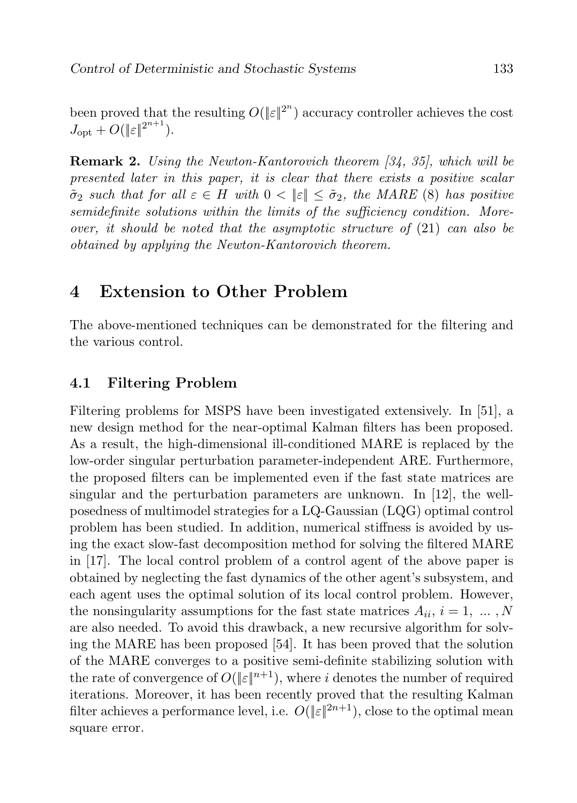been proved that the resulting  $O(|\epsilon|^{2^n})$  accuracy controller achieves the cost  $J_{\text{opt}} + O(\|\varepsilon\|^{2^{n+1}}).$ 

Remark 2. Using the Newton-Kantorovich theorem [34, 35], which will be presented later in this paper, it is clear that there exists a positive scalar  $\tilde{\sigma}_2$  such that for all  $\varepsilon \in H$  with  $0 < ||\varepsilon|| \leq \tilde{\sigma}_2$ , the MARE (8) has positive semidefinite solutions within the limits of the sufficiency condition. Moreover, it should be noted that the asymptotic structure of (21) can also be obtained by applying the Newton-Kantorovich theorem.

# 4 Extension to Other Problem

The above-mentioned techniques can be demonstrated for the filtering and the various control.

### 4.1 Filtering Problem

Filtering problems for MSPS have been investigated extensively. In [51], a new design method for the near-optimal Kalman filters has been proposed. As a result, the high-dimensional ill-conditioned MARE is replaced by the low-order singular perturbation parameter-independent ARE. Furthermore, the proposed filters can be implemented even if the fast state matrices are singular and the perturbation parameters are unknown. In [12], the wellposedness of multimodel strategies for a LQ-Gaussian (LQG) optimal control problem has been studied. In addition, numerical stiffness is avoided by using the exact slow-fast decomposition method for solving the filtered MARE in [17]. The local control problem of a control agent of the above paper is obtained by neglecting the fast dynamics of the other agent's subsystem, and each agent uses the optimal solution of its local control problem. However, the nonsingularity assumptions for the fast state matrices  $A_{ii}$ ,  $i = 1, ..., N$ are also needed. To avoid this drawback, a new recursive algorithm for solving the MARE has been proposed [54]. It has been proved that the solution of the MARE converges to a positive semi-definite stabilizing solution with the rate of convergence of  $O(|\varepsilon|^{n+1})$ , where i denotes the number of required iterations. Moreover, it has been recently proved that the resulting Kalman filter achieves a performance level, i.e.  $O(\|\varepsilon\|^{2n+1})$ , close to the optimal mean square error.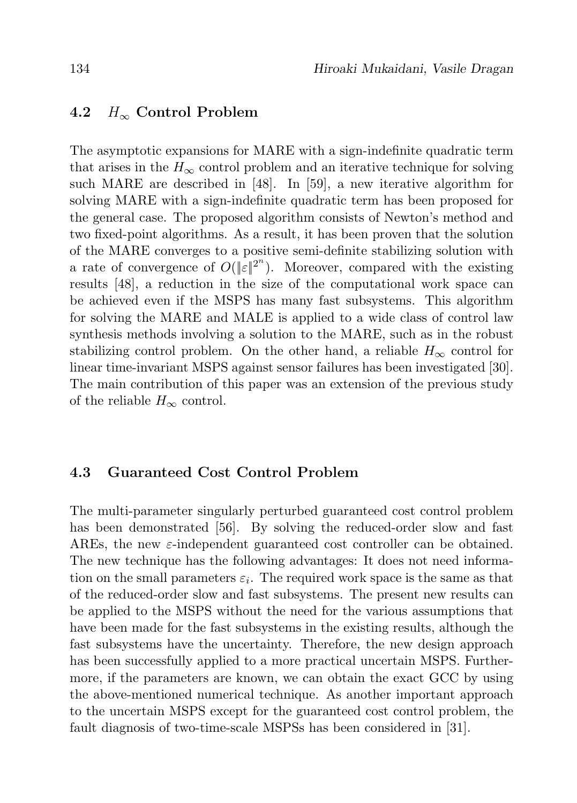### 4.2  $H_{\infty}$  Control Problem

The asymptotic expansions for MARE with a sign-indefinite quadratic term that arises in the  $H_{\infty}$  control problem and an iterative technique for solving such MARE are described in [48]. In [59], a new iterative algorithm for solving MARE with a sign-indefinite quadratic term has been proposed for the general case. The proposed algorithm consists of Newton's method and two fixed-point algorithms. As a result, it has been proven that the solution of the MARE converges to a positive semi-definite stabilizing solution with a rate of convergence of  $O(|\varepsilon|^{2^n})$ . Moreover, compared with the existing results [48], a reduction in the size of the computational work space can be achieved even if the MSPS has many fast subsystems. This algorithm for solving the MARE and MALE is applied to a wide class of control law synthesis methods involving a solution to the MARE, such as in the robust stabilizing control problem. On the other hand, a reliable  $H_{\infty}$  control for linear time-invariant MSPS against sensor failures has been investigated [30]. The main contribution of this paper was an extension of the previous study of the reliable  $H_{\infty}$  control.

### 4.3 Guaranteed Cost Control Problem

The multi-parameter singularly perturbed guaranteed cost control problem has been demonstrated [56]. By solving the reduced-order slow and fast AREs, the new  $\varepsilon$ -independent guaranteed cost controller can be obtained. The new technique has the following advantages: It does not need information on the small parameters  $\varepsilon_i$ . The required work space is the same as that of the reduced-order slow and fast subsystems. The present new results can be applied to the MSPS without the need for the various assumptions that have been made for the fast subsystems in the existing results, although the fast subsystems have the uncertainty. Therefore, the new design approach has been successfully applied to a more practical uncertain MSPS. Furthermore, if the parameters are known, we can obtain the exact GCC by using the above-mentioned numerical technique. As another important approach to the uncertain MSPS except for the guaranteed cost control problem, the fault diagnosis of two-time-scale MSPSs has been considered in [31].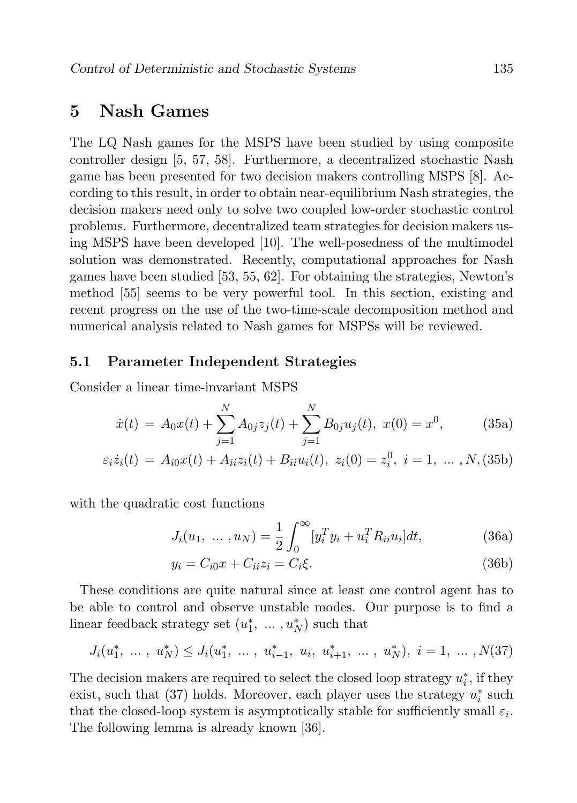### 5 Nash Games

The LQ Nash games for the MSPS have been studied by using composite controller design [5, 57, 58]. Furthermore, a decentralized stochastic Nash game has been presented for two decision makers controlling MSPS [8]. According to this result, in order to obtain near-equilibrium Nash strategies, the decision makers need only to solve two coupled low-order stochastic control problems. Furthermore, decentralized team strategies for decision makers using MSPS have been developed [10]. The well-posedness of the multimodel solution was demonstrated. Recently, computational approaches for Nash games have been studied [53, 55, 62]. For obtaining the strategies, Newton's method [55] seems to be very powerful tool. In this section, existing and recent progress on the use of the two-time-scale decomposition method and numerical analysis related to Nash games for MSPSs will be reviewed.

### 5.1 Parameter Independent Strategies

Consider a linear time-invariant MSPS

$$
\dot{x}(t) = A_0 x(t) + \sum_{j=1}^{N} A_{0j} z_j(t) + \sum_{j=1}^{N} B_{0j} u_j(t), \ x(0) = x^0,
$$
 (35a)

$$
\varepsilon_i \dot{z}_i(t) = A_{i0} x(t) + A_{ii} z_i(t) + B_{ii} u_i(t), \ z_i(0) = z_i^0, \ i = 1, \ \dots \ , N, (35b)
$$

with the quadratic cost functions

$$
J_i(u_1, ..., u_N) = \frac{1}{2} \int_0^\infty [y_i^T y_i + u_i^T R_{ii} u_i] dt,
$$
 (36a)

$$
y_i = C_{i0}x + C_{ii}z_i = C_i\xi.
$$
\n(36b)

These conditions are quite natural since at least one control agent has to be able to control and observe unstable modes. Our purpose is to find a linear feedback strategy set  $(u_1^*, \ldots, u_N^*)$  such that

$$
J_i(u_1^*, \ldots, u_N^*) \leq J_i(u_1^*, \ldots, u_{i-1}^*, u_i, u_{i+1}^*, \ldots, u_N^*), i = 1, \ldots, N(37)
$$

The decision makers are required to select the closed loop strategy  $u_i^*$ , if they exist, such that (37) holds. Moreover, each player uses the strategy  $u_i^*$  such that the closed-loop system is asymptotically stable for sufficiently small  $\varepsilon_i$ . The following lemma is already known [36].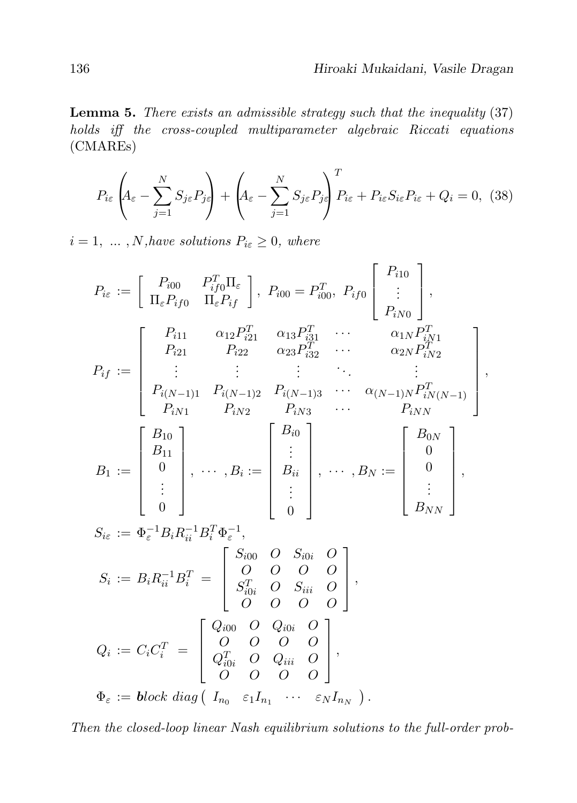,

**Lemma 5.** There exists an admissible strategy such that the inequality  $(37)$ holds iff the cross-coupled multiparameter algebraic Riccati equations (CMAREs)

$$
P_{i\varepsilon} \left( A_{\varepsilon} - \sum_{j=1}^{N} S_{j\varepsilon} P_{j\varepsilon} \right) + \left( A_{\varepsilon} - \sum_{j=1}^{N} S_{j\varepsilon} P_{j\varepsilon} \right)^T P_{i\varepsilon} + P_{i\varepsilon} S_{i\varepsilon} P_{i\varepsilon} + Q_i = 0, \tag{38}
$$

 $i = 1, \ldots, N$ , have solutions  $P_{i\epsilon} \geq 0$ , where

$$
P_{i\varepsilon} := \begin{bmatrix} P_{i00} & P_{if0}^T \Pi_{\varepsilon} \\ \Pi_{\varepsilon} P_{if0} & \Pi_{\varepsilon} P_{if} \end{bmatrix}, P_{i00} = P_{i00}^T, P_{if0} \begin{bmatrix} P_{i10} \\ \vdots \\ P_{iN0} \end{bmatrix},
$$
  
\n
$$
P_{if} := \begin{bmatrix} P_{i11} & \alpha_{12} P_{i21}^T & \alpha_{13} P_{i31}^T & \cdots & \alpha_{1N} P_{iN1}^T \\ P_{i21} & P_{i22} & \alpha_{23} P_{i32}^T & \cdots & \alpha_{2N} P_{iN2}^T \\ \vdots & \vdots & \vdots & \ddots & \vdots \\ P_{i(N-1)1} & P_{i(N-1)2} & P_{i(N-1)3} & \cdots & \alpha_{(N-1)N} P_{iN(N-1)}^T \\ P_{iN1} & P_{iN2} & P_{iN3} & \cdots & P_{iNN} \end{bmatrix}
$$
  
\n
$$
B_1 := \begin{bmatrix} B_{10} \\ B_{11} \\ B_{11} \\ \vdots \\ 0 \end{bmatrix}, \dots, B_i := \begin{bmatrix} B_{i0} \\ \vdots \\ B_{ii} \\ \vdots \\ 0 \end{bmatrix}, \dots, B_N := \begin{bmatrix} B_{0N} \\ 0 \\ \vdots \\ 0 \\ B_{NN} \end{bmatrix},
$$
  
\n
$$
S_{i\varepsilon} := \Phi_{\varepsilon}^{-1} B_i R_{ii}^{-1} B_i^T \Phi_{\varepsilon}^{-1},
$$
  
\n
$$
S_i := B_i R_{ii}^{-1} B_i^T = \begin{bmatrix} S_{i00} & O & S_{i0i} & O \\ O & O & O & O \\ S_{i0i}^T & O & S_{i0i} & O \\ O & O & O & O \\ O & O & O & O \end{bmatrix},
$$
  
\n
$$
Q_i := C_i C_i^T = \begin{bmatrix} Q_{i00} & O & Q_{i0i} & O \\ Q_{i0i}^T & O & Q_{i0i} & O \\ Q_{i0i}^T & O & Q_{i0i} & O \\ O & O & O & O \end{bmatrix},
$$
  
\n
$$
\Phi_{\varepsilon
$$

Then the closed-loop linear Nash equilibrium solutions to the full-order prob-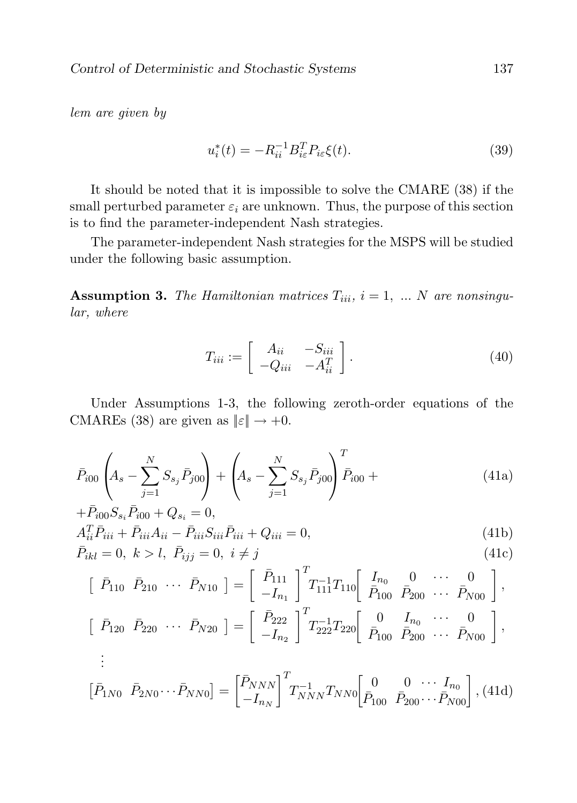lem are given by

$$
u_i^*(t) = -R_{ii}^{-1} B_{i\varepsilon}^T P_{i\varepsilon} \xi(t).
$$
 (39)

It should be noted that it is impossible to solve the CMARE (38) if the small perturbed parameter  $\varepsilon_i$  are unknown. Thus, the purpose of this section is to find the parameter-independent Nash strategies.

The parameter-independent Nash strategies for the MSPS will be studied under the following basic assumption.

**Assumption 3.** The Hamiltonian matrices  $T_{iii}$ ,  $i = 1, ... N$  are nonsingular, where

$$
T_{iii} := \begin{bmatrix} A_{ii} & -S_{iii} \\ -Q_{iii} & -A_{ii}^T \end{bmatrix}.
$$
 (40)

Under Assumptions 1-3, the following zeroth-order equations of the CMAREs (38) are given as  $\|\varepsilon\| \to +0$ .

$$
\bar{P}_{i00}\left(A_s - \sum_{j=1}^N S_{s_j} \bar{P}_{j00}\right) + \left(A_s - \sum_{j=1}^N S_{s_j} \bar{P}_{j00}\right)^T \bar{P}_{i00} + \n+ \bar{P}_{i00} S_{s_i} \bar{P}_{i00} + Q_{s_i} = 0,
$$
\n(41a)

$$
A_{ii}^T \bar{P}_{iii} + \bar{P}_{iii} A_{ii} - \bar{P}_{iii} S_{iii} \bar{P}_{iii} + Q_{iii} = 0,
$$
  
\n
$$
\bar{P}_{ikl} = 0, \ k > l, \ \bar{P}_{ijj} = 0, \ i \neq j
$$
\n(41c)

$$
\begin{bmatrix}\n\bar{P}_{110} & \bar{P}_{210} & \cdots & \bar{P}_{N10}\n\end{bmatrix} = \begin{bmatrix}\n\bar{P}_{111} \\
-I_{n_1}\n\end{bmatrix}^T T_{111}^{-1} T_{110} \begin{bmatrix}\nI_{n_0} & 0 & \cdots & 0 \\
\bar{P}_{100} & \bar{P}_{200} & \cdots & \bar{P}_{N00}\n\end{bmatrix},
$$
\n
$$
\begin{bmatrix}\n\bar{P}_{111} & \bar{P}_{122} & \bar{P}_{111} & \bar{P}_{110} & \bar{P}_{100} & \cdots & 0\n\end{bmatrix}.
$$

$$
\begin{bmatrix}\n\bar{P}_{120} & \bar{P}_{220} & \cdots & \bar{P}_{N20}\n\end{bmatrix} = \begin{bmatrix}\n\bar{P}_{222} \\
-I_{n_2}\n\end{bmatrix}^T\n\begin{bmatrix}\nT_{222}^{-1}T_{220} \\
\bar{P}_{100} & \bar{P}_{200} & \cdots & \bar{P}_{N00}\n\end{bmatrix},
$$
\n
$$
\vdots
$$

$$
\begin{bmatrix} \bar{P}_{1N0} & \bar{P}_{2N0} \cdots \bar{P}_{NN0} \end{bmatrix} = \begin{bmatrix} \bar{P}_{NNN} \\ -I_{n_N} \end{bmatrix}^T T_{NNN}^{-1} T_{NN0} \begin{bmatrix} 0 & 0 & \cdots & I_{n_0} \\ \bar{P}_{100} & \bar{P}_{200} \cdots \bar{P}_{N00} \end{bmatrix}, (41d)
$$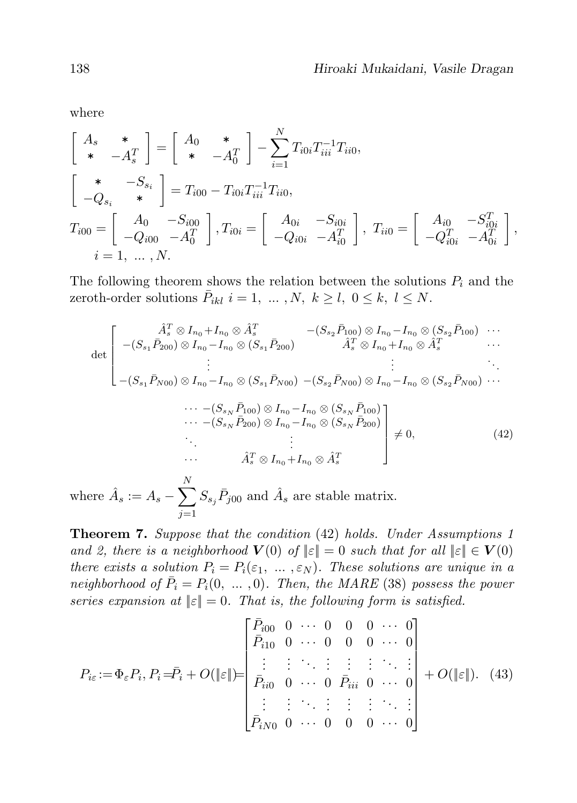where

$$
\begin{bmatrix}\nA_s & * & * \\
* & -A_s^T\n\end{bmatrix} = \begin{bmatrix}\nA_0 & * & * \\
* & -A_0^T\n\end{bmatrix} - \sum_{i=1}^N T_{i0i} T_{iii}^{-1} T_{ii0},
$$
\n
$$
\begin{bmatrix}\n* & -S_{si} \\
-Q_{si} & * \end{bmatrix} = T_{i00} - T_{i0i} T_{iii}^{-1} T_{ii0},
$$
\n
$$
T_{i00} = \begin{bmatrix}\nA_0 & -S_{i00} \\
-Q_{i00} & -A_0^T\n\end{bmatrix}, T_{i0i} = \begin{bmatrix}\nA_{0i} & -S_{i0i} \\
-Q_{i0i} & -A_{i0}^T\n\end{bmatrix}, T_{ii0} = \begin{bmatrix}\nA_{i0} & -S_{i0i}^T \\
-Q_{i0i}^T & -A_{0i}^T\n\end{bmatrix},
$$
\n $i = 1, ..., N.$ 

The following theorem shows the relation between the solutions  $P_i$  and the zeroth-order solutions  $\bar{P}_{ikl}$   $i = 1, ..., N, k \ge l, 0 \le k, l \le N$ .

$$
\det \begin{bmatrix} \hat{A}_{s}^{T} \otimes I_{n_{0}} + I_{n_{0}} \otimes \hat{A}_{s}^{T} & -(S_{s_{2}}\bar{P}_{100}) \otimes I_{n_{0}} - I_{n_{0}} \otimes (S_{s_{2}}\bar{P}_{100}) \cdots \\ -(S_{s_{1}}\bar{P}_{200}) \otimes I_{n_{0}} - I_{n_{0}} \otimes (S_{s_{1}}\bar{P}_{200}) & \hat{A}_{s}^{T} \otimes I_{n_{0}} + I_{n_{0}} \otimes \hat{A}_{s}^{T} \cdots \\ \vdots & \vdots & \ddots \\ -(S_{s_{1}}\bar{P}_{N00}) \otimes I_{n_{0}} - I_{n_{0}} \otimes (S_{s_{1}}\bar{P}_{N00}) - (S_{s_{2}}\bar{P}_{N00}) \otimes I_{n_{0}} - I_{n_{0}} \otimes (S_{s_{2}}\bar{P}_{N00}) \cdots \\ \cdots - (S_{s_{N}}\bar{P}_{100}) \otimes I_{n_{0}} - I_{n_{0}} \otimes (S_{s_{N}}\bar{P}_{100}) \\ \cdots - (S_{s_{N}}\bar{P}_{200}) \otimes I_{n_{0}} - I_{n_{0}} \otimes (S_{s_{N}}\bar{P}_{200}) \\ \vdots & \vdots & \vdots \\ \hat{A}_{s}^{T} \otimes I_{n_{0}} + I_{n_{0}} \otimes \hat{A}_{s}^{T} \end{bmatrix} \neq 0, \qquad (42)
$$

where  $\hat{A}_s := A_s - \sum$  $j=1$  $S_{s_j} \bar{P}_{j00}$  and  $\hat{A}_s$  are stable matrix.

Theorem 7. Suppose that the condition (42) holds. Under Assumptions 1 and 2, there is a neighborhood  $V(0)$  of  $||\varepsilon|| = 0$  such that for all  $||\varepsilon|| \in V(0)$ there exists a solution  $P_i = P_i(\varepsilon_1, \ldots, \varepsilon_N)$ . These solutions are unique in a neighborhood of  $\overline{P}_i = P_i(0, ..., 0)$ . Then, the MARE (38) possess the power series expansion at  $||\varepsilon|| = 0$ . That is, the following form is satisfied.

$$
P_{i\varepsilon} := \Phi_{\varepsilon} P_i, P_i = \bar{P}_i + O(\|\varepsilon\|) = \begin{bmatrix} \bar{P}_{i00} & 0 & \cdots & 0 & 0 & 0 & \cdots & 0 \\ \bar{P}_{i10} & 0 & \cdots & 0 & 0 & 0 & \cdots & 0 \\ \vdots & \vdots & \ddots & \vdots & \vdots & \ddots & \vdots \\ \bar{P}_{i00} & 0 & \cdots & 0 & \bar{P}_{iii} & 0 & \cdots & 0 \\ \vdots & \vdots & \ddots & \vdots & \vdots & \ddots & \vdots \\ \bar{P}_{iN0} & 0 & \cdots & 0 & 0 & 0 & \cdots & 0 \end{bmatrix} + O(\|\varepsilon\|). \tag{43}
$$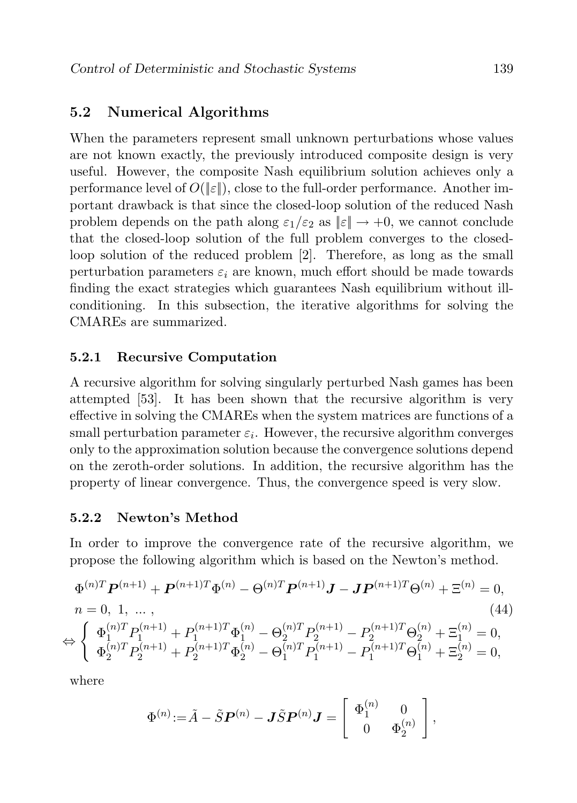### 5.2 Numerical Algorithms

When the parameters represent small unknown perturbations whose values are not known exactly, the previously introduced composite design is very useful. However, the composite Nash equilibrium solution achieves only a performance level of  $O(|\varepsilon|)$ , close to the full-order performance. Another important drawback is that since the closed-loop solution of the reduced Nash problem depends on the path along  $\varepsilon_1/\varepsilon_2$  as  $\|\varepsilon\| \to +0$ , we cannot conclude that the closed-loop solution of the full problem converges to the closedloop solution of the reduced problem [2]. Therefore, as long as the small perturbation parameters  $\varepsilon_i$  are known, much effort should be made towards finding the exact strategies which guarantees Nash equilibrium without illconditioning. In this subsection, the iterative algorithms for solving the CMAREs are summarized.

#### 5.2.1 Recursive Computation

A recursive algorithm for solving singularly perturbed Nash games has been attempted [53]. It has been shown that the recursive algorithm is very effective in solving the CMAREs when the system matrices are functions of a small perturbation parameter  $\varepsilon_i$ . However, the recursive algorithm converges only to the approximation solution because the convergence solutions depend on the zeroth-order solutions. In addition, the recursive algorithm has the property of linear convergence. Thus, the convergence speed is very slow.

### 5.2.2 Newton's Method

In order to improve the convergence rate of the recursive algorithm, we propose the following algorithm which is based on the Newton's method.

$$
\Phi^{(n)T} \mathbf{P}^{(n+1)} + \mathbf{P}^{(n+1)T} \Phi^{(n)} - \Theta^{(n)T} \mathbf{P}^{(n+1)} \mathbf{J} - \mathbf{J} \mathbf{P}^{(n+1)T} \Theta^{(n)} + \Xi^{(n)} = 0,
$$
\n
$$
n = 0, 1, \dots, \qquad (44)
$$
\n
$$
\Leftrightarrow \begin{cases}\n\Phi_1^{(n)T} P_1^{(n+1)} + P_1^{(n+1)T} \Phi_1^{(n)} - \Theta_2^{(n)T} P_2^{(n+1)} - P_2^{(n+1)T} \Theta_2^{(n)} + \Xi_1^{(n)} = 0, \\
\Phi_2^{(n)T} P_2^{(n+1)} + P_2^{(n+1)T} \Phi_2^{(n)} - \Theta_1^{(n)T} P_1^{(n+1)} - P_1^{(n+1)T} \Theta_1^{(n)} + \Xi_2^{(n)} = 0,\n\end{cases}
$$

where

$$
\Phi^{(n)}\hspace{-1mm}:=\hspace{-1mm}\tilde{A}-\tilde{S}\boldsymbol{P}^{(n)}- \boldsymbol{J}\tilde{S}\boldsymbol{P}^{(n)}\boldsymbol{J}=\left[\begin{array}{cc}\Phi_1^{(n)} & 0 \\ 0 & \Phi_2^{(n)}\end{array}\right],
$$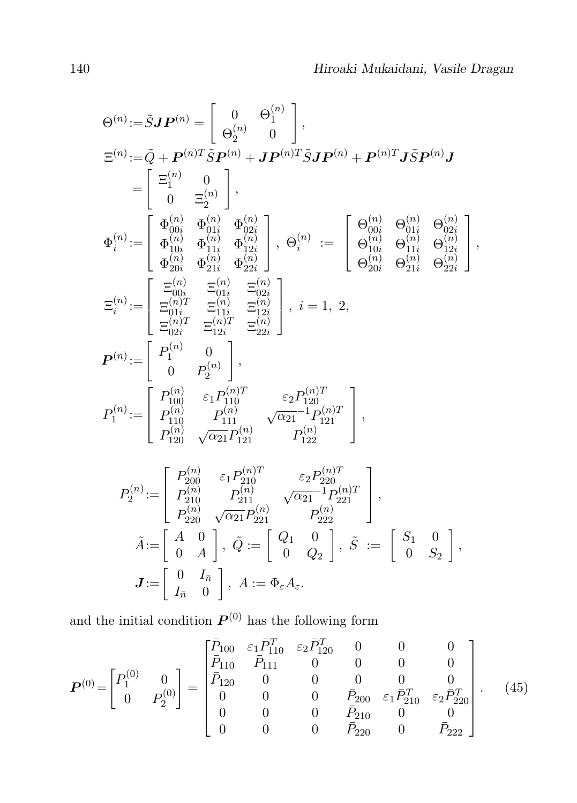$$
\begin{split} &\Theta^{(n)}\!:=\!\hat{S}\boldsymbol{J}\boldsymbol{P}^{(n)}=\left[\begin{array}{c}0&\Theta_1^{(n)}\\ \Theta_2^{(n)}&0\end{array}\right],\\ &\Xi^{(n)}\!:=\!\hat{Q}+\boldsymbol{P}^{(n)T}\tilde{S}\boldsymbol{P}^{(n)}+\boldsymbol{J}\boldsymbol{P}^{(n)T}\tilde{S}\boldsymbol{J}\boldsymbol{P}^{(n)}+\boldsymbol{P}^{(n)T}\boldsymbol{J}\tilde{S}\boldsymbol{P}^{(n)}\boldsymbol{J}\\ &=\left[\begin{array}{c} \Xi_1^{(n)}&0\\ \Xi_2^{(n)}&\Phi_{10i}^{(n)}&\Phi_{01i}^{(n)}\\\Phi_{10i}^{(n)}&\Phi_{11i}^{(n)}&\Phi_{12i}^{(n)}\\ \Phi_{20i}^{(n)}&\Phi_{21i}^{(n)}&\Phi_{22i}^{(n)}\end{array}\right],~\Theta_i^{(n)}\;:=\;\left[\begin{array}{c} \Theta_{00i}^{(n)}&\Theta_{01i}^{(n)}&\Theta_{02i}^{(n)}\\ \Theta_{10i}^{(n)}&\Theta_{11i}^{(n)}&\Theta_{12i}^{(n)}\\ \Theta_{20i}^{(n)}&\Theta_{21i}^{(n)}&\Theta_{22i}^{(n)}\\ \Theta_{20i}^{(n)}&\Theta_{21i}^{(n)}&\Theta_{22i}^{(n)}\end{array}\right],\\ &\Xi_i^{(n)}\!:=\left[\begin{array}{c} \Xi_{00i}^{(n)}&\Xi_{10i}^{(n)}&\Xi_{12i}^{(n)}\\ \Xi_{01i}^{(n)}&\Xi_{11i}^{(n)}&\Xi_{12i}^{(n)}\\ \Xi_{01i}^{(n)}&\Xi_{11i}^{(n)}&\Xi_{22i}^{(n)}\\ \Xi_{01i}^{(n)}&\Xi_{11i}^{(n)}&\Xi_{22i}^{(n)}\end{array}\right],~i=1,\;2,\\ &P^{(n)}\!:=\left[\begin{array}{cc} P_1^{(n)}&0\\ P_1^{(n)}&\Xi_{11i}^{(n)}&\Xi_{12i}^{(n)}\\ \Xi_{110}^{(n)}&\Xi_{12i}^{(n)}&\Xi_{22i
$$

and the initial condition  $P^{(0)}$  has the following form

$$
\boldsymbol{P}^{(0)} = \begin{bmatrix} P_1^{(0)} & 0 \\ 0 & P_2^{(0)} \end{bmatrix} = \begin{bmatrix} \bar{P}_{100} & \varepsilon_1 \bar{P}_{110}^T & \varepsilon_2 \bar{P}_{120}^T & 0 & 0 & 0 \\ \bar{P}_{110} & \bar{P}_{111} & 0 & 0 & 0 & 0 \\ \bar{P}_{120} & 0 & 0 & 0 & 0 & 0 \\ 0 & 0 & 0 & \bar{P}_{200} & \varepsilon_1 \bar{P}_{210}^T & \varepsilon_2 \bar{P}_{220}^T \\ 0 & 0 & 0 & \bar{P}_{210} & 0 & 0 \\ 0 & 0 & 0 & \bar{P}_{220} & 0 & \bar{P}_{222} \end{bmatrix} . \tag{45}
$$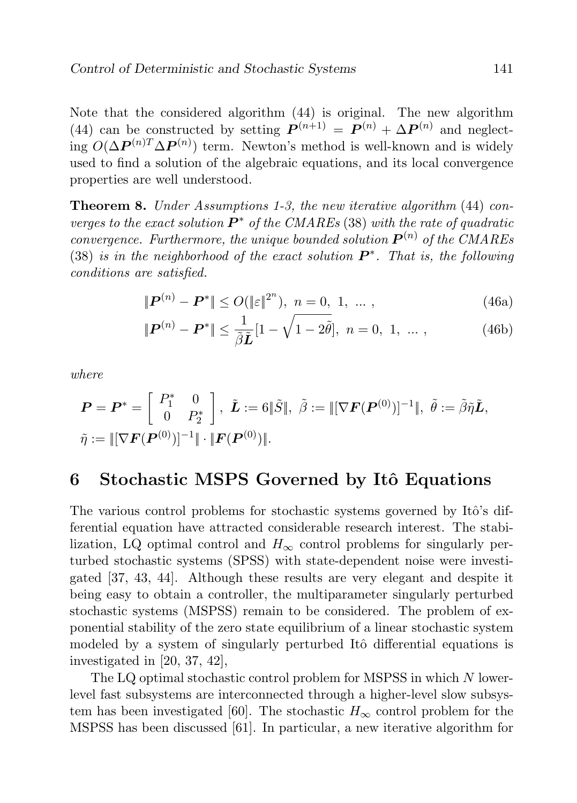Note that the considered algorithm (44) is original. The new algorithm (44) can be constructed by setting  $P^{(n+1)} = P^{(n)} + \Delta P^{(n)}$  and neglecting  $O(\Delta P^{(n)T} \Delta P^{(n)})$  term. Newton's method is well-known and is widely used to find a solution of the algebraic equations, and its local convergence properties are well understood.

Theorem 8. Under Assumptions 1-3, the new iterative algorithm (44) converges to the exact solution  $P^*$  of the CMAREs (38) with the rate of quadratic convergence. Furthermore, the unique bounded solution  $P^{(n)}$  of the CMAREs (38) is in the neighborhood of the exact solution  $P^*$ . That is, the following conditions are satisfied.

$$
\|\boldsymbol{P}^{(n)} - \boldsymbol{P}^*\| \le O(\|\varepsilon\|^{2^n}), \ n = 0, 1, \dots,
$$
\n(46a)

$$
\|\mathbf{P}^{(n)} - \mathbf{P}^*\| \le \frac{1}{\tilde{\beta}\tilde{\mathbf{L}}} [1 - \sqrt{1 - 2\tilde{\theta}}], \ n = 0, 1, \dots,
$$
 (46b)

where

$$
\mathbf{P} = \mathbf{P}^* = \begin{bmatrix} P_1^* & 0 \\ 0 & P_2^* \end{bmatrix}, \ \tilde{\mathbf{L}} := 6 \|\tilde{S}\|, \ \tilde{\beta} := \|[\nabla \mathbf{F}(\mathbf{P}^{(0)})]^{-1}\|, \ \tilde{\theta} := \tilde{\beta}\tilde{\eta}\tilde{\mathbf{L}},
$$
  

$$
\tilde{\eta} := \|[\nabla \mathbf{F}(\mathbf{P}^{(0)})]^{-1}\| \cdot \|\mathbf{F}(\mathbf{P}^{(0)})\|.
$$

# 6 Stochastic MSPS Governed by Itô Equations

The various control problems for stochastic systems governed by Itô's differential equation have attracted considerable research interest. The stabilization, LQ optimal control and  $H_{\infty}$  control problems for singularly perturbed stochastic systems (SPSS) with state-dependent noise were investigated [37, 43, 44]. Although these results are very elegant and despite it being easy to obtain a controller, the multiparameter singularly perturbed stochastic systems (MSPSS) remain to be considered. The problem of exponential stability of the zero state equilibrium of a linear stochastic system modeled by a system of singularly perturbed Itô differential equations is investigated in [20, 37, 42],

The LQ optimal stochastic control problem for MSPSS in which N lowerlevel fast subsystems are interconnected through a higher-level slow subsystem has been investigated [60]. The stochastic  $H_{\infty}$  control problem for the MSPSS has been discussed [61]. In particular, a new iterative algorithm for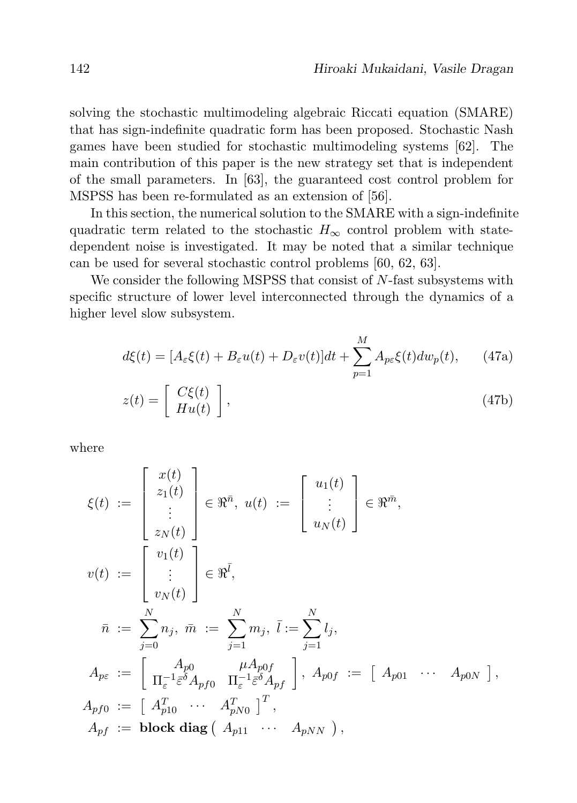solving the stochastic multimodeling algebraic Riccati equation (SMARE) that has sign-indefinite quadratic form has been proposed. Stochastic Nash games have been studied for stochastic multimodeling systems [62]. The main contribution of this paper is the new strategy set that is independent of the small parameters. In [63], the guaranteed cost control problem for MSPSS has been re-formulated as an extension of [56].

In this section, the numerical solution to the SMARE with a sign-indefinite quadratic term related to the stochastic  $H_{\infty}$  control problem with statedependent noise is investigated. It may be noted that a similar technique can be used for several stochastic control problems [60, 62, 63].

We consider the following MSPSS that consist of  $N$ -fast subsystems with specific structure of lower level interconnected through the dynamics of a higher level slow subsystem.

$$
d\xi(t) = [A_{\varepsilon}\xi(t) + B_{\varepsilon}u(t) + D_{\varepsilon}v(t)]dt + \sum_{p=1}^{M} A_{p\varepsilon}\xi(t)dw_p(t), \qquad (47a)
$$

$$
z(t) = \begin{bmatrix} C\xi(t) \\ Hu(t) \end{bmatrix}, \qquad (47b)
$$

where

$$
\xi(t) := \begin{bmatrix} x(t) \\ z_1(t) \\ \vdots \\ z_N(t) \end{bmatrix} \in \mathbb{R}^{\bar{n}}, \ u(t) := \begin{bmatrix} u_1(t) \\ \vdots \\ u_N(t) \end{bmatrix} \in \mathbb{R}^{\bar{m}},
$$
  

$$
v(t) := \begin{bmatrix} v_1(t) \\ \vdots \\ v_N(t) \end{bmatrix} \in \mathbb{R}^{\bar{l}},
$$
  

$$
\bar{n} := \sum_{j=0}^{N} n_j, \ \bar{m} := \sum_{j=1}^{N} m_j, \ \bar{l} := \sum_{j=1}^{N} l_j,
$$
  

$$
A_{p\epsilon} := \begin{bmatrix} A_{p0} & \mu A_{p0f} \\ \Pi_{\epsilon}^{-1} \bar{\epsilon}^{\delta} A_{pf0} & \Pi_{\epsilon}^{-1} \bar{\epsilon}^{\delta} A_{pf} \end{bmatrix}, \ A_{p0f} := \begin{bmatrix} A_{p01} & \cdots & A_{p0N} \end{bmatrix},
$$
  

$$
A_{pf0} := \begin{bmatrix} A_{p10}^T & \cdots & A_{pN0}^T \end{bmatrix}^T,
$$
  

$$
A_{pf} := \textbf{block diag} \begin{bmatrix} A_{p11} & \cdots & A_{pNN} \end{bmatrix},
$$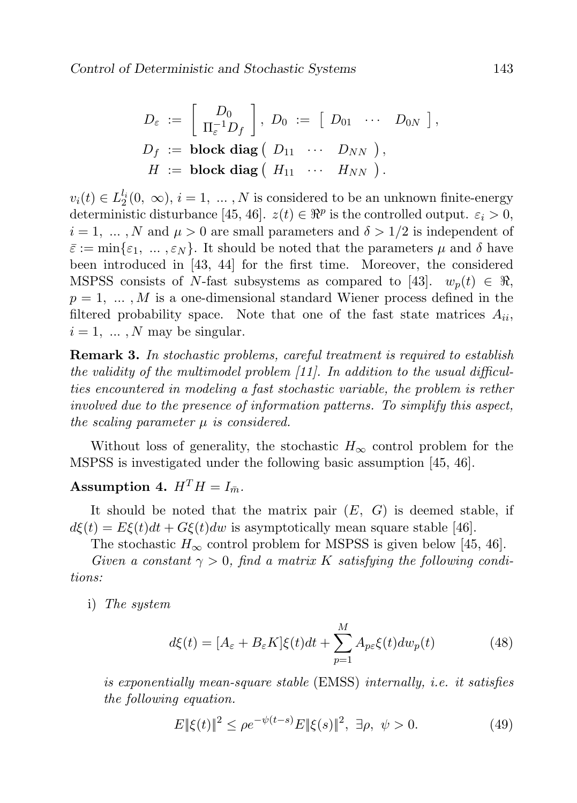$$
D_{\varepsilon} := \left[ \begin{array}{c} D_0 \\ \Pi_{\varepsilon}^{-1} D_f \end{array} \right], \ D_0 := \left[ \begin{array}{ccc} D_{01} & \cdots & D_{0N} \end{array} \right],
$$
  

$$
D_f := \textbf{block diag} \left( \begin{array}{ccc} D_{11} & \cdots & D_{NN} \end{array} \right),
$$
  

$$
H := \textbf{block diag} \left( \begin{array}{ccc} H_{11} & \cdots & H_{NN} \end{array} \right).
$$

 $v_i(t) \in L_2^{l_i}(0, \infty), i = 1, \ldots, N$  is considered to be an unknown finite-energy deterministic disturbance [45, 46].  $z(t) \in \Re^p$  is the controlled output.  $\varepsilon_i > 0$ ,  $i = 1, \ldots, N$  and  $\mu > 0$  are small parameters and  $\delta > 1/2$  is independent of  $\bar{\varepsilon} := \min\{\varepsilon_1, \ldots, \varepsilon_N\}.$  It should be noted that the parameters  $\mu$  and  $\delta$  have been introduced in [43, 44] for the first time. Moreover, the considered MSPSS consists of N-fast subsystems as compared to [43].  $w_p(t) \in \Re$ ,  $p = 1, \ldots, M$  is a one-dimensional standard Wiener process defined in the filtered probability space. Note that one of the fast state matrices  $A_{ii}$ ,  $i = 1, \ldots, N$  may be singular.

**Remark 3.** In stochastic problems, careful treatment is required to establish the validity of the multimodel problem [11]. In addition to the usual difficulties encountered in modeling a fast stochastic variable, the problem is rether involved due to the presence of information patterns. To simplify this aspect, the scaling parameter  $\mu$  is considered.

Without loss of generality, the stochastic  $H_{\infty}$  control problem for the MSPSS is investigated under the following basic assumption [45, 46].

# Assumption 4.  $H^T H = I_{\bar{m}}$ .

It should be noted that the matrix pair  $(E, G)$  is deemed stable, if  $d\xi(t) = E\xi(t)dt + G\xi(t)dw$  is asymptotically mean square stable [46].

The stochastic  $H_{\infty}$  control problem for MSPSS is given below [45, 46].

Given a constant  $\gamma > 0$ , find a matrix K satisfying the following conditions:

i) The system

$$
d\xi(t) = [A_{\varepsilon} + B_{\varepsilon}K]\xi(t)dt + \sum_{p=1}^{M} A_{p\varepsilon}\xi(t)dw_p(t)
$$
 (48)

is exponentially mean-square stable (EMSS) internally, i.e. it satisfies the following equation.

$$
E\|\xi(t)\|^2 \le \rho e^{-\psi(t-s)} E\|\xi(s)\|^2, \ \exists \rho, \ \psi > 0. \tag{49}
$$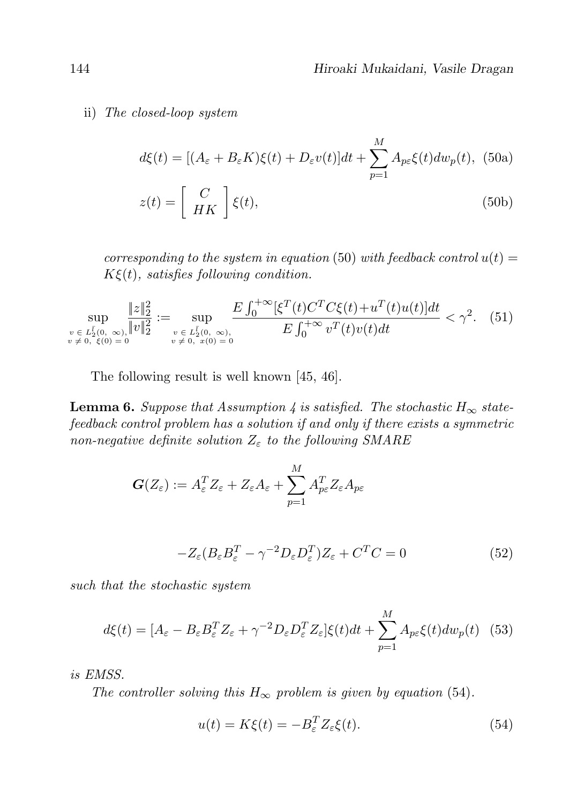ii) The closed-loop system

$$
d\xi(t) = [(A_{\varepsilon} + B_{\varepsilon}K)\xi(t) + D_{\varepsilon}v(t)]dt + \sum_{p=1}^{M} A_{p\varepsilon}\xi(t)dw_p(t),
$$
 (50a)  

$$
z(t) = \begin{bmatrix} C \\ HK \end{bmatrix} \xi(t),
$$
 (50b)

corresponding to the system in equation (50) with feedback control  $u(t) =$  $K\xi(t)$ , satisfies following condition.

$$
\sup_{\substack{v \in L_2^L(0, \infty), \\ v \neq 0, \ \xi(0) = 0}} \frac{\|z\|_2^2}{\|v\|_2^2} := \sup_{\substack{v \in L_2^L(0, \infty), \\ v \neq 0, \ x(0) = 0}} \frac{E \int_0^{+\infty} [\xi^T(t)C^T C\xi(t) + u^T(t)u(t)]dt}{E \int_0^{+\infty} v^T(t)v(t)dt} < \gamma^2. \tag{51}
$$

The following result is well known [45, 46].

**Lemma 6.** Suppose that Assumption 4 is satisfied. The stochastic  $H_{\infty}$  statefeedback control problem has a solution if and only if there exists a symmetric non-negative definite solution  $Z_{\varepsilon}$  to the following SMARE

$$
\boldsymbol{G}(Z_{\varepsilon}):=A_{\varepsilon}^TZ_{\varepsilon}+Z_{\varepsilon}A_{\varepsilon}+\sum_{p=1}^MA_{p\varepsilon}^TZ_{\varepsilon}A_{p\varepsilon}
$$

$$
-Z_{\varepsilon}(B_{\varepsilon}B_{\varepsilon}^{T} - \gamma^{-2}D_{\varepsilon}D_{\varepsilon}^{T})Z_{\varepsilon} + C^{T}C = 0
$$
\n(52)

such that the stochastic system

$$
d\xi(t) = [A_{\varepsilon} - B_{\varepsilon} B_{\varepsilon}^T Z_{\varepsilon} + \gamma^{-2} D_{\varepsilon} D_{\varepsilon}^T Z_{\varepsilon}] \xi(t) dt + \sum_{p=1}^M A_{p\varepsilon} \xi(t) dw_p(t) \tag{53}
$$

is EMSS.

The controller solving this  $H_{\infty}$  problem is given by equation (54).

$$
u(t) = K\xi(t) = -B_{\varepsilon}^{T} Z_{\varepsilon}\xi(t).
$$
\n(54)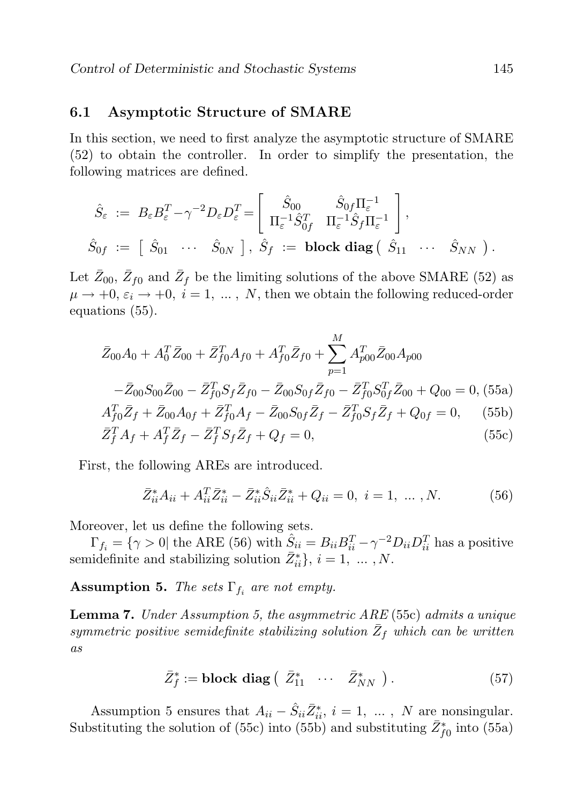### 6.1 Asymptotic Structure of SMARE

In this section, we need to first analyze the asymptotic structure of SMARE (52) to obtain the controller. In order to simplify the presentation, the following matrices are defined.

$$
\hat{S}_{\varepsilon} := B_{\varepsilon} B_{\varepsilon}^T - \gamma^{-2} D_{\varepsilon} D_{\varepsilon}^T = \begin{bmatrix} \hat{S}_{00} & \hat{S}_{0f} \Pi_{\varepsilon}^{-1} \\ \Pi_{\varepsilon}^{-1} \hat{S}_{0f}^T & \Pi_{\varepsilon}^{-1} \hat{S}_f \Pi_{\varepsilon}^{-1} \end{bmatrix},
$$
  

$$
\hat{S}_{0f} := \begin{bmatrix} \hat{S}_{01} & \cdots & \hat{S}_{0N} \end{bmatrix}, \ \hat{S}_{f} := \text{block diag} \left( \begin{bmatrix} \hat{S}_{11} & \cdots & \hat{S}_{NN} \end{bmatrix} \right).
$$

Let  $\bar{Z}_{00}$ ,  $\bar{Z}_{f0}$  and  $\bar{Z}_{f}$  be the limiting solutions of the above SMARE (52) as  $\mu \rightarrow +0, \varepsilon_i \rightarrow +0, i = 1, ..., N$ , then we obtain the following reduced-order equations (55).

$$
\bar{Z}_{00}A_0 + A_0^T \bar{Z}_{00} + \bar{Z}_{f0}^T A_{f0} + A_{f0}^T \bar{Z}_{f0} + \sum_{p=1}^M A_{p00}^T \bar{Z}_{00} A_{p00}
$$

$$
- \bar{Z}_{00} S_{00} \bar{Z}_{00} - \bar{Z}_{f0}^T S_f \bar{Z}_{f0} - \bar{Z}_{00} S_{0f} \bar{Z}_{f0} - \bar{Z}_{f0}^T S_{0f}^T \bar{Z}_{00} + Q_{00} = 0, (55a)
$$

$$
A_{f0}^T \bar{Z}_f + \bar{Z}_{00} A_{0f} + \bar{Z}_{f0}^T A_f - \bar{Z}_{00} S_{0f} \bar{Z}_f - \bar{Z}_{f0}^T S_f \bar{Z}_f + Q_{0f} = 0, (55b)
$$

$$
A_{f0} \Delta f + \Delta_{00} A_{0f} + \Delta_{f0} A_f - \Delta_{00} S_{0f} \Delta f - \Delta_{f0} S_f \Delta f + Q_{0f} = 0, \quad (300)
$$
  

$$
\bar{Z}^T A_{0} + A^T \bar{Z}_{0} - \bar{Z}^T S_{0} \bar{Z}_{0} + O_{0} = 0, \quad (55c)
$$

$$
\bar{Z}_f^T A_f + A_f^T \bar{Z}_f - \bar{Z}_f^T S_f \bar{Z}_f + Q_f = 0,\tag{55c}
$$

First, the following AREs are introduced.

$$
\bar{Z}_{ii}^* A_{ii} + A_{ii}^T \bar{Z}_{ii}^* - \bar{Z}_{ii}^* \hat{S}_{ii} \bar{Z}_{ii}^* + Q_{ii} = 0, \ i = 1, \ \dots \ , N. \tag{56}
$$

Moreover, let us define the following sets.

 $\Gamma_{f_i} = \{ \gamma > 0 | \text{ the ARE (56) with } \hat{S}_{ii} = B_{ii}B_{ii}^T - \gamma^{-2}D_{ii}D_{ii}^T \text{ has a positive} \}$ semidefinite and stabilizing solution  $\bar{Z}_{ii}^*$ ,  $i = 1, \dots, N$ .

**Assumption 5.** The sets  $\Gamma_{f_i}$  are not empty.

Lemma 7. Under Assumption 5, the asymmetric ARE (55c) admits a unique symmetric positive semidefinite stabilizing solution  $\bar{Z}_f$  which can be written as

$$
\bar{Z}_{f}^{*} := \text{block diag}\left(\begin{array}{cccc} \bar{Z}_{11}^{*} & \cdots & \bar{Z}_{NN}^{*} \end{array}\right). \tag{57}
$$

Assumption 5 ensures that  $A_{ii} - \hat{S}_{ii} \overline{Z}_{ii}^*$ ,  $i = 1, \dots, N$  are nonsingular. Substituting the solution of (55c) into (55b) and substituting  $\bar{Z}_{f0}^{*}$  into (55a)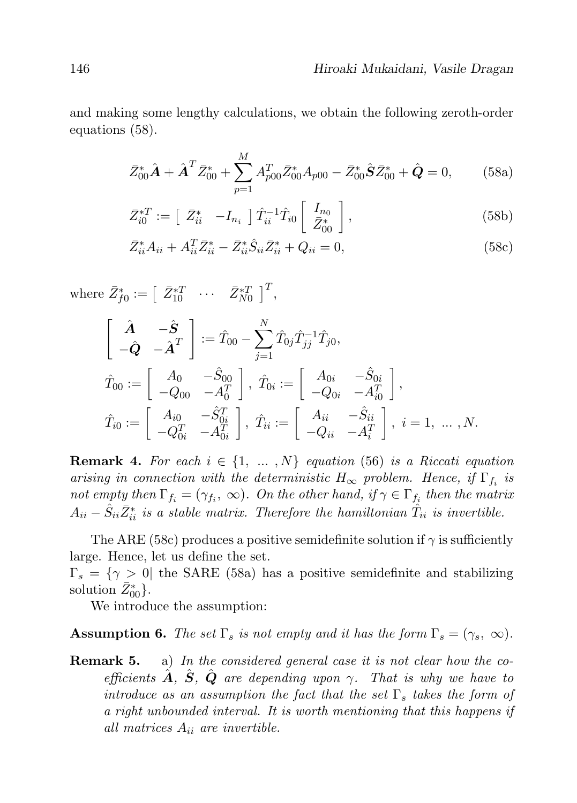and making some lengthy calculations, we obtain the following zeroth-order equations (58).

$$
\bar{Z}_{00}^* \hat{\mathbf{A}} + \hat{\mathbf{A}}^T \bar{Z}_{00}^* + \sum_{p=1}^M A_{p00}^T \bar{Z}_{00}^* A_{p00} - \bar{Z}_{00}^* \hat{\mathbf{S}} \bar{Z}_{00}^* + \hat{\mathbf{Q}} = 0, \qquad (58a)
$$

$$
\bar{Z}_{i0}^{*T} := \begin{bmatrix} \bar{Z}_{ii}^* & -I_{n_i} \end{bmatrix} \hat{T}_{ii}^{-1} \hat{T}_{i0} \begin{bmatrix} I_{n_0} \\ \bar{Z}_{00}^* \end{bmatrix}, \qquad (58b)
$$

$$
\bar{Z}_{ii}^* A_{ii} + A_{ii}^T \bar{Z}_{ii}^* - \bar{Z}_{ii}^* \hat{S}_{ii} \bar{Z}_{ii}^* + Q_{ii} = 0,
$$
\n(58c)

where  $\bar{Z}_{f0}^{*} := \begin{bmatrix} \bar{Z}_{10}^{*T} & \cdots & \bar{Z}_{N0}^{*T} \end{bmatrix}^{T}$ ,

$$
\begin{aligned}\n\begin{bmatrix}\n\hat{A} & -\hat{S} \\
-\hat{Q} & -\hat{A}^T\n\end{bmatrix} &:= \hat{T}_{00} - \sum_{j=1}^N \hat{T}_{0j} \hat{T}_{jj}^{-1} \hat{T}_{j0}, \\
\hat{T}_{00} &:= \begin{bmatrix} A_0 & -\hat{S}_{00} \\
-Q_{00} & -A_0^T \end{bmatrix}, \ \hat{T}_{0i} &:= \begin{bmatrix} A_{0i} & -\hat{S}_{0i} \\
-Q_{0i} & -A_{i0}^T \end{bmatrix}, \\
\hat{T}_{i0} &:= \begin{bmatrix} A_{i0} & -\hat{S}_{0i}^T \\
-Q_{0i}^T & -A_{i0}^T \end{bmatrix}, \ \hat{T}_{ii} &:= \begin{bmatrix} A_{ii} & -\hat{S}_{ii} \\
-Q_{ii} & -A_i^T \end{bmatrix}, \ i = 1, \dots, N.\n\end{aligned}
$$

**Remark 4.** For each  $i \in \{1, ..., N\}$  equation (56) is a Riccati equation arising in connection with the deterministic  $H_{\infty}$  problem. Hence, if  $\Gamma_{f_i}$  is not empty then  $\Gamma_{f_i} = (\gamma_{f_i}, \infty)$ . On the other hand, if  $\gamma \in \Gamma_{f_i}$  then the matrix  $A_{ii} - \hat{S}_{ii} \bar{Z}_{ii}^*$  is a stable matrix. Therefore the hamiltonian  $\hat{T}_{ii}$  is invertible.

The ARE (58c) produces a positive semidefinite solution if  $\gamma$  is sufficiently large. Hence, let us define the set.

 $\Gamma_s = \{ \gamma > 0 \vert$  the SARE (58a) has a positive semidefinite and stabilizing solution  $\bar{Z}_{00}^*$ .

We introduce the assumption:

**Assumption 6.** The set  $\Gamma_s$  is not empty and it has the form  $\Gamma_s = (\gamma_s, \infty)$ .

**Remark 5.** a) In the considered general case it is not clear how the coefficients  $\hat{A}$ ,  $\hat{S}$ ,  $\hat{Q}$  are depending upon  $\gamma$ . That is why we have to introduce as an assumption the fact that the set  $\Gamma_s$  takes the form of a right unbounded interval. It is worth mentioning that this happens if all matrices  $A_{ii}$  are invertible.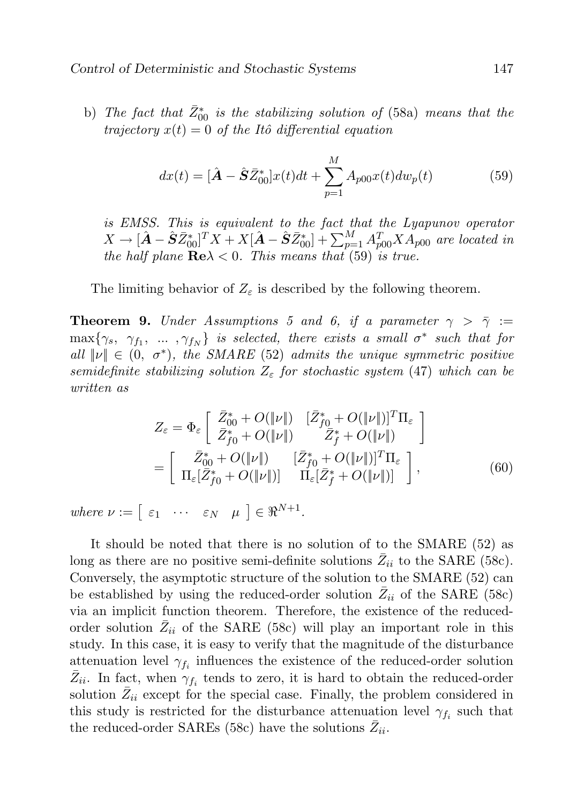b) The fact that  $\bar{Z}_{00}^{*}$  is the stabilizing solution of (58a) means that the trajectory  $x(t) = 0$  of the Itô differential equation

$$
dx(t) = [\hat{A} - \hat{S}\bar{Z}_{00}^*]x(t)dt + \sum_{p=1}^{M} A_{p00}x(t)dw_p(t)
$$
 (59)

is EMSS. This is equivalent to the fact that the Lyapunov operator  $X \to [\hat{\bm{A}} - \hat{\bm{S}} \bar{Z}_{00}^{*}]^T X + X [\hat{\bm{A}} - \hat{\bm{S}} \bar{Z}_{00}^{*}] + \sum_{p=1}^M A_{p00}^T X A_{p00}$  are located in the half plane  $\text{Re}\lambda < 0$ . This means that (59) is true.

The limiting behavior of  $Z_{\varepsilon}$  is described by the following theorem.

**Theorem 9.** Under Assumptions 5 and 6, if a parameter  $\gamma > \overline{\gamma}$  :=  $\max\{\gamma_s, \gamma_{f_1}, \dots, \gamma_{f_N}\}\$  is selected, there exists a small  $\sigma^*$  such that for all  $\|\nu\| \in (0, \sigma^*)$ , the SMARE (52) admits the unique symmetric positive semidefinite stabilizing solution  $Z_{\varepsilon}$  for stochastic system (47) which can be written as

$$
Z_{\varepsilon} = \Phi_{\varepsilon} \left[ \begin{array}{cc} \bar{Z}_{00}^{*} + O(\|\nu\|) & [\bar{Z}_{f0}^{*} + O(\|\nu\|)]^{T} \Pi_{\varepsilon} \\ \bar{Z}_{f0}^{*} + O(\|\nu\|) & \bar{Z}_{f}^{*} + O(\|\nu\|) \end{array} \right] = \left[ \begin{array}{cc} \bar{Z}_{00}^{*} + O(\|\nu\|) & [\bar{Z}_{f0}^{*} + O(\|\nu\|)]^{T} \Pi_{\varepsilon} \\ \Pi_{\varepsilon} [\bar{Z}_{f0}^{*} + O(\|\nu\|)] & \Pi_{\varepsilon} [\bar{Z}_{f}^{*} + O(\|\nu\|)] \end{array} \right],
$$
(60)

where  $\nu := \begin{bmatrix} \varepsilon_1 & \cdots & \varepsilon_N & \mu \end{bmatrix} \in \Re^{N+1}$ .

It should be noted that there is no solution of to the SMARE (52) as long as there are no positive semi-definite solutions  $\bar{Z}_{ii}$  to the SARE (58c). Conversely, the asymptotic structure of the solution to the SMARE (52) can be established by using the reduced-order solution  $\overline{Z}_{ii}$  of the SARE (58c) via an implicit function theorem. Therefore, the existence of the reducedorder solution  $\bar{Z}_{ii}$  of the SARE (58c) will play an important role in this study. In this case, it is easy to verify that the magnitude of the disturbance attenuation level  $\gamma_{f_i}$  influences the existence of the reduced-order solution  $\bar{Z}_{ii}$ . In fact, when  $\gamma_{f_i}$  tends to zero, it is hard to obtain the reduced-order solution  $\bar{Z}_{ii}$  except for the special case. Finally, the problem considered in this study is restricted for the disturbance attenuation level  $\gamma_{f_i}$  such that the reduced-order SAREs (58c) have the solutions  $\overline{Z}_{ii}$ .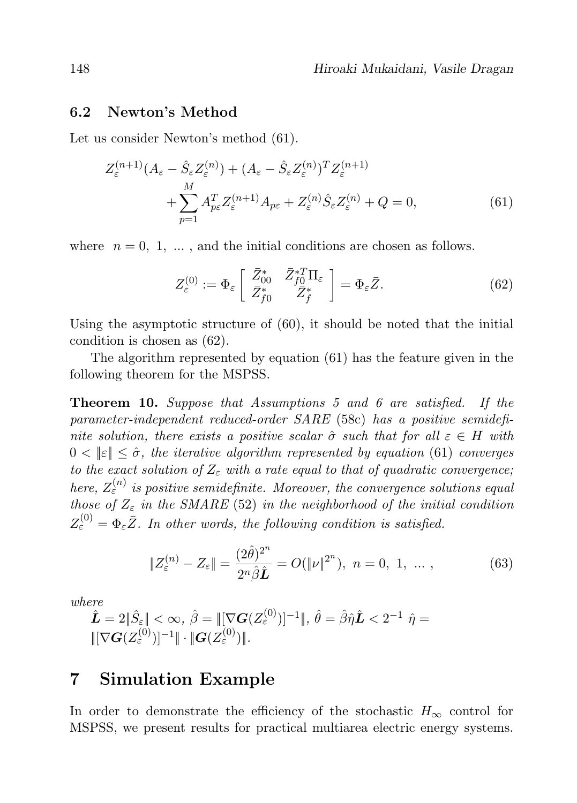#### 6.2 Newton's Method

Let us consider Newton's method (61).

$$
Z_{\varepsilon}^{(n+1)}(A_{\varepsilon} - \hat{S}_{\varepsilon}Z_{\varepsilon}^{(n)}) + (A_{\varepsilon} - \hat{S}_{\varepsilon}Z_{\varepsilon}^{(n)})^{T}Z_{\varepsilon}^{(n+1)} + \sum_{p=1}^{M} A_{p\varepsilon}^{T}Z_{\varepsilon}^{(n+1)}A_{p\varepsilon} + Z_{\varepsilon}^{(n)}\hat{S}_{\varepsilon}Z_{\varepsilon}^{(n)} + Q = 0,
$$
\n(61)

where  $n = 0, 1, \ldots$ , and the initial conditions are chosen as follows.

$$
Z_{\varepsilon}^{(0)} := \Phi_{\varepsilon} \left[ \begin{array}{cc} \bar{Z}_{00}^{*} & \bar{Z}_{f0}^{*T} \Pi_{\varepsilon} \\ \bar{Z}_{f0}^{*} & \bar{Z}_{f}^{*} \end{array} \right] = \Phi_{\varepsilon} \bar{Z}.
$$
 (62)

Using the asymptotic structure of (60), it should be noted that the initial condition is chosen as (62).

The algorithm represented by equation (61) has the feature given in the following theorem for the MSPSS.

Theorem 10. Suppose that Assumptions 5 and 6 are satisfied. If the parameter-independent reduced-order SARE (58c) has a positive semidefinite solution, there exists a positive scalar  $\hat{\sigma}$  such that for all  $\varepsilon \in H$  with  $0 < ||\varepsilon|| \leq \hat{\sigma}$ , the iterative algorithm represented by equation (61) converges to the exact solution of  $Z_{\varepsilon}$  with a rate equal to that of quadratic convergence; here,  $Z_{\varepsilon}^{(n)}$  is positive semidefinite. Moreover, the convergence solutions equal those of  $Z_{\varepsilon}$  in the SMARE (52) in the neighborhood of the initial condition  $Z_{\varepsilon}^{(0)} = \Phi_{\varepsilon} \bar{Z}$ . In other words, the following condition is satisfied.

$$
\|Z_{\varepsilon}^{(n)} - Z_{\varepsilon}\| = \frac{(2\hat{\theta})^{2^n}}{2^n \hat{\beta} \hat{L}} = O(\|\nu\|^{2^n}), \ n = 0, 1, \dots,
$$
 (63)

where

$$
\hat{\mathbf{L}} = 2\|\hat{S}_{\varepsilon}\| < \infty, \ \hat{\beta} = \|[\nabla \mathbf{G}(Z_{\varepsilon}^{(0)})]^{-1}\|, \ \hat{\theta} = \hat{\beta}\hat{\eta}\hat{\mathbf{L}} < 2^{-1} \ \hat{\eta} = \|[\nabla \mathbf{G}(Z_{\varepsilon}^{(0)})]^{-1}\| \cdot \|\mathbf{G}(Z_{\varepsilon}^{(0)})\|.
$$

# 7 Simulation Example

In order to demonstrate the efficiency of the stochastic  $H_{\infty}$  control for MSPSS, we present results for practical multiarea electric energy systems.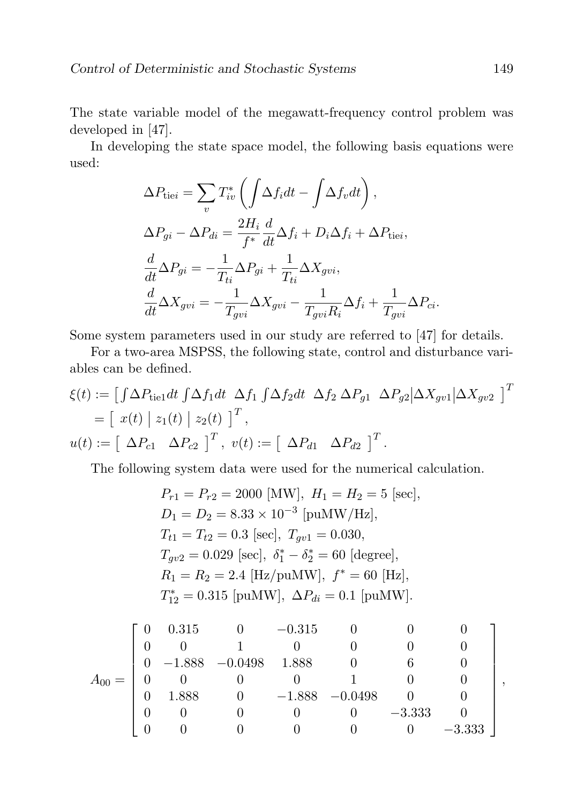The state variable model of the megawatt-frequency control problem was developed in [47].

In developing the state space model, the following basis equations were used:

$$
\Delta P_{\text{tie}i} = \sum_{v} T_{iv}^{*} \left( \int \Delta f_i dt - \int \Delta f_v dt \right),
$$
  
\n
$$
\Delta P_{gi} - \Delta P_{di} = \frac{2H_i}{f^*} \frac{d}{dt} \Delta f_i + D_i \Delta f_i + \Delta P_{\text{tie}i},
$$
  
\n
$$
\frac{d}{dt} \Delta P_{gi} = -\frac{1}{T_{ti}} \Delta P_{gi} + \frac{1}{T_{ti}} \Delta X_{gvi},
$$
  
\n
$$
\frac{d}{dt} \Delta X_{gvi} = -\frac{1}{T_{gvi}} \Delta X_{gvi} - \frac{1}{T_{gvi}R_i} \Delta f_i + \frac{1}{T_{gvi}} \Delta P_{ci}.
$$

Some system parameters used in our study are referred to [47] for details.

For a two-area MSPSS, the following state, control and disturbance variables can be defined.

$$
\xi(t) := \left[ \int \Delta P_{\text{tie}} dt \int \Delta f_1 dt \, \Delta f_1 \int \Delta f_2 dt \, \Delta f_2 \, \Delta P_{g1} \, \Delta P_{g2} \Big| \Delta X_{gv1} \Big| \Delta X_{gv2} \, \right]^T
$$
  
=  $\left[ x(t) \Big| z_1(t) \Big| z_2(t) \right]^T$ ,  

$$
u(t) := \left[ \Delta P_{c1} \, \Delta P_{c2} \right]^T, \ v(t) := \left[ \Delta P_{d1} \, \Delta P_{d2} \right]^T.
$$

The following system data were used for the numerical calculation.

$$
P_{r1} = P_{r2} = 2000 \text{ [MW]}, H_1 = H_2 = 5 \text{ [sec]},
$$
  
\n
$$
D_1 = D_2 = 8.33 \times 10^{-3} \text{ [puMW/Hz]},
$$
  
\n
$$
T_{t1} = T_{t2} = 0.3 \text{ [sec]}, T_{gv1} = 0.030,
$$
  
\n
$$
T_{gv2} = 0.029 \text{ [sec]}, \delta_1^* - \delta_2^* = 60 \text{ [degree]},
$$
  
\n
$$
R_1 = R_2 = 2.4 \text{ [Hz/puMW]}, f^* = 60 \text{ [Hz]},
$$
  
\n
$$
T_{12}^* = 0.315 \text{ [puMW]}, \Delta P_{di} = 0.1 \text{ [puMW]}.
$$

$$
A_{00} = \begin{bmatrix} 0 & 0.315 & 0 & -0.315 & 0 & 0 & 0 \\ 0 & 0 & 1 & 0 & 0 & 0 & 0 \\ 0 & -1.888 & -0.0498 & 1.888 & 0 & 6 & 0 \\ 0 & 0 & 0 & 0 & 1 & 0 & 0 \\ 0 & 1.888 & 0 & -1.888 & -0.0498 & 0 & 0 \\ 0 & 0 & 0 & 0 & 0 & -3.333 & 0 \\ 0 & 0 & 0 & 0 & 0 & 0 & -3.333 \end{bmatrix},
$$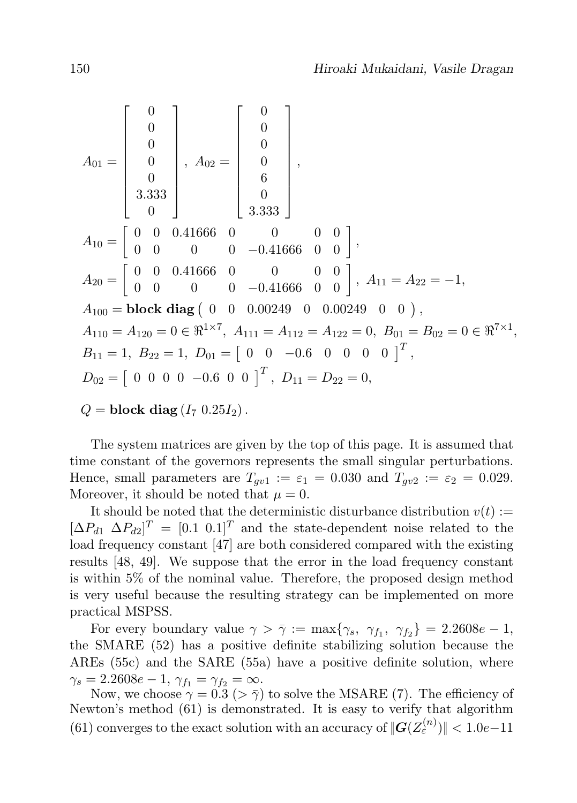$$
A_{01} = \begin{bmatrix} 0 \\ 0 \\ 0 \\ 0 \\ 0 \\ 0 \end{bmatrix}, A_{02} = \begin{bmatrix} 0 \\ 0 \\ 0 \\ 6 \\ 3.333 \\ 0 \\ 0 \end{bmatrix},
$$
  
\n
$$
A_{10} = \begin{bmatrix} 0 & 0 & 0.41666 & 0 & 0 & 0 & 0 \\ 0 & 0 & 0.41666 & 0 & 0 & 0 & 0 \\ 0 & 0 & 0 & 0 & -0.41666 & 0 & 0 & 0 \\ 0 & 0 & 0 & 0 & -0.41666 & 0 & 0 & 0 \\ 0 & 0 & 0 & 0 & -0.41666 & 0 & 0 & 0 \\ 0 & 0 & 0 & 0.00249 & 0 & 0.00249 & 0 & 0 \\ 0 & 0 & 0 & 0.00249 & 0 & 0.00249 & 0 & 0 \\ 0 & 0 & 0 & 0 & 0 & 0 & 0 & 0 \end{bmatrix}, A_{11} = A_{22} = -1,
$$
  
\n
$$
A_{100} = \text{block diag } \begin{pmatrix} 0 & 0 & 0.00249 & 0 & 0.00249 & 0 & 0 \\ 0 & 0 & 0.00249 & 0 & 0 & 0.00249 & 0 & 0 \\ 0 & 0 & 0 & 0 & 0 & 0 & 0 & 0 \\ 0 & 0 & 0 & 0 & 0 & 0 & 0 & 0 \end{pmatrix}^T,
$$
  
\n
$$
B_{11} = 1, B_{22} = 1, D_{01} = \begin{bmatrix} 0 & 0 & -0.6 & 0 & 0 & 0 & 0 \end{bmatrix}^T, D_{11} = D_{22} = 0,
$$

 $Q = \text{block diag}(I_7 \ 0.25 I_2).$ 

The system matrices are given by the top of this page. It is assumed that time constant of the governors represents the small singular perturbations. Hence, small parameters are  $T_{gv1} := \varepsilon_1 = 0.030$  and  $T_{gv2} := \varepsilon_2 = 0.029$ . Moreover, it should be noted that  $\mu = 0$ .

It should be noted that the deterministic disturbance distribution  $v(t) :=$  $[\Delta P_{d1} \ \Delta P_{d2}]^T = [0.1 \ 0.1]^T$  and the state-dependent noise related to the load frequency constant [47] are both considered compared with the existing results [48, 49]. We suppose that the error in the load frequency constant is within 5% of the nominal value. Therefore, the proposed design method is very useful because the resulting strategy can be implemented on more practical MSPSS.

For every boundary value  $\gamma > \overline{\gamma} := \max\{\gamma_s, \ \gamma_{f_1}, \ \gamma_{f_2}\} = 2.2608e - 1$ , the SMARE (52) has a positive definite stabilizing solution because the AREs (55c) and the SARE (55a) have a positive definite solution, where  $\gamma_s = 2.2608e - 1, \, \gamma_{f_1} = \gamma_{f_2} = \infty.$ 

Now, we choose  $\gamma = 0.3$  ( $> \bar{\gamma}$ ) to solve the MSARE (7). The efficiency of Newton's method (61) is demonstrated. It is easy to verify that algorithm (61) converges to the exact solution with an accuracy of  $||G(Z_{\varepsilon}^{(n)})|| < 1.0e-11$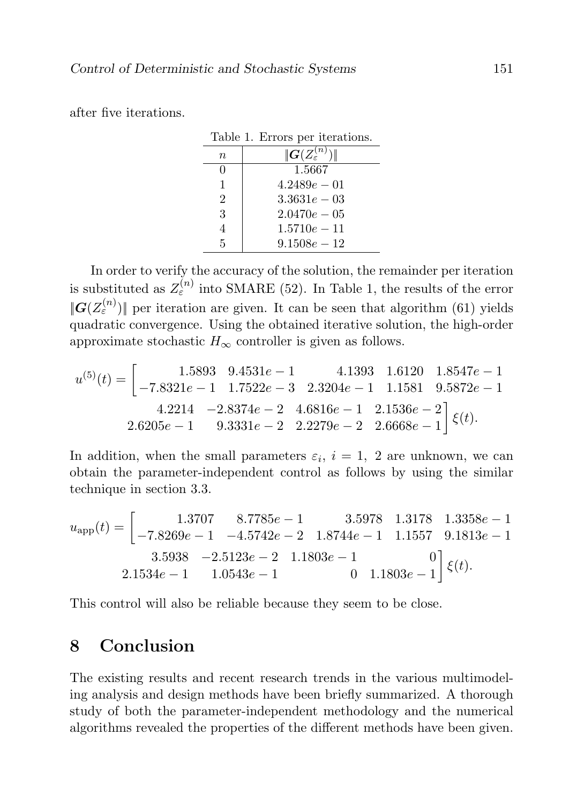after five iterations.

| Table 1. Errors per iterations. |                                     |
|---------------------------------|-------------------------------------|
| $\it{n}$                        | $ \! G(Z^{(n)}_\varepsilon) \! \! $ |
| $\mathbf{0}$                    | 1.5667                              |
| 1                               | $4.2489e - 01$                      |
| $\overline{2}$                  | $3.3631e - 03$                      |
| 3                               | $2.0470e - 05$                      |
| 4                               | $1.5710e - 11$                      |
| 5                               | $9.1508e - 12$                      |

In order to verify the accuracy of the solution, the remainder per iteration is substituted as  $Z_{\varepsilon}^{(n)}$  into SMARE (52). In Table 1, the results of the error  $||G(Z_{\varepsilon}^{(n)})||$  per iteration are given. It can be seen that algorithm (61) yields quadratic convergence. Using the obtained iterative solution, the high-order approximate stochastic  $H_{\infty}$  controller is given as follows.

$$
u^{(5)}(t) = \begin{bmatrix} 1.5893 & 9.4531e - 1 & 4.1393 & 1.6120 & 1.8547e - 1 \\ -7.8321e - 1 & 1.7522e - 3 & 2.3204e - 1 & 1.1581 & 9.5872e - 1 \\ 4.2214 & -2.8374e - 2 & 4.6816e - 1 & 2.1536e - 2 \\ 2.6205e - 1 & 9.3331e - 2 & 2.2279e - 2 & 2.6668e - 1 \end{bmatrix} \xi(t).
$$

In addition, when the small parameters  $\varepsilon_i$ ,  $i=1, 2$  are unknown, we can obtain the parameter-independent control as follows by using the similar technique in section 3.3.

$$
u_{\rm app}(t) = \begin{bmatrix} 1.3707 & 8.7785e - 1 & 3.5978 & 1.3178 & 1.3358e - 1 \\ -7.8269e - 1 & -4.5742e - 2 & 1.8744e - 1 & 1.1557 & 9.1813e - 1 \\ 3.5938 & -2.5123e - 2 & 1.1803e - 1 & 0 \\ 2.1534e - 1 & 1.0543e - 1 & 0 & 1.1803e - 1 \end{bmatrix} \xi(t).
$$

This control will also be reliable because they seem to be close.

# 8 Conclusion

The existing results and recent research trends in the various multimodeling analysis and design methods have been briefly summarized. A thorough study of both the parameter-independent methodology and the numerical algorithms revealed the properties of the different methods have been given.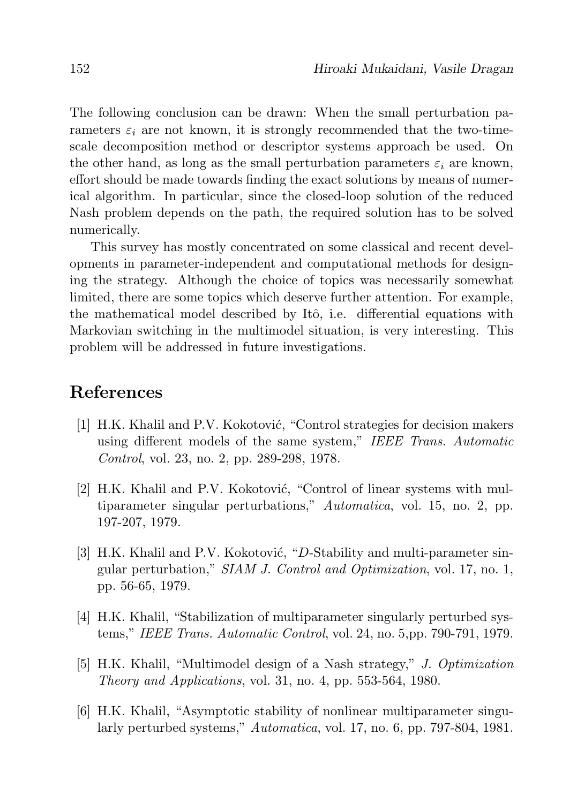The following conclusion can be drawn: When the small perturbation parameters  $\varepsilon_i$  are not known, it is strongly recommended that the two-timescale decomposition method or descriptor systems approach be used. On the other hand, as long as the small perturbation parameters  $\varepsilon_i$  are known, effort should be made towards finding the exact solutions by means of numerical algorithm. In particular, since the closed-loop solution of the reduced Nash problem depends on the path, the required solution has to be solved numerically.

This survey has mostly concentrated on some classical and recent developments in parameter-independent and computational methods for designing the strategy. Although the choice of topics was necessarily somewhat limited, there are some topics which deserve further attention. For example, the mathematical model described by Itô, i.e. differential equations with Markovian switching in the multimodel situation, is very interesting. This problem will be addressed in future investigations.

# References

- [1] H.K. Khalil and P.V. Kokotović, "Control strategies for decision makers using different models of the same system," IEEE Trans. Automatic Control, vol. 23, no. 2, pp. 289-298, 1978.
- [2] H.K. Khalil and P.V. Kokotović, "Control of linear systems with multiparameter singular perturbations," Automatica, vol. 15, no. 2, pp. 197-207, 1979.
- [3] H.K. Khalil and P.V. Kokotović, "D-Stability and multi-parameter singular perturbation," SIAM J. Control and Optimization, vol. 17, no. 1, pp. 56-65, 1979.
- [4] H.K. Khalil, "Stabilization of multiparameter singularly perturbed systems," IEEE Trans. Automatic Control, vol. 24, no. 5,pp. 790-791, 1979.
- [5] H.K. Khalil, "Multimodel design of a Nash strategy," J. Optimization Theory and Applications, vol. 31, no. 4, pp. 553-564, 1980.
- [6] H.K. Khalil, "Asymptotic stability of nonlinear multiparameter singularly perturbed systems," Automatica, vol. 17, no. 6, pp. 797-804, 1981.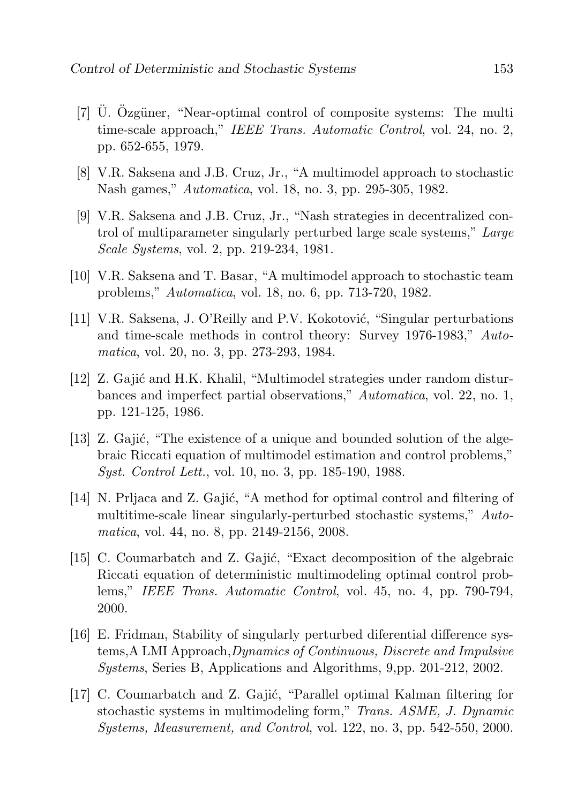- $[7]$  U. Ozgüner, "Near-optimal control of composite systems: The multi time-scale approach," IEEE Trans. Automatic Control, vol. 24, no. 2, pp. 652-655, 1979.
- [8] V.R. Saksena and J.B. Cruz, Jr., "A multimodel approach to stochastic Nash games," Automatica, vol. 18, no. 3, pp. 295-305, 1982.
- [9] V.R. Saksena and J.B. Cruz, Jr., "Nash strategies in decentralized control of multiparameter singularly perturbed large scale systems," Large Scale Systems, vol. 2, pp. 219-234, 1981.
- [10] V.R. Saksena and T. Basar, "A multimodel approach to stochastic team problems," Automatica, vol. 18, no. 6, pp. 713-720, 1982.
- [11] V.R. Saksena, J. O'Reilly and P.V. Kokotović, "Singular perturbations" and time-scale methods in control theory: Survey 1976-1983," Automatica, vol. 20, no. 3, pp. 273-293, 1984.
- [12] Z. Gaji´c and H.K. Khalil, "Multimodel strategies under random disturbances and imperfect partial observations," Automatica, vol. 22, no. 1, pp. 121-125, 1986.
- [13] Z. Gajić, "The existence of a unique and bounded solution of the algebraic Riccati equation of multimodel estimation and control problems," Syst. Control Lett., vol. 10, no. 3, pp. 185-190, 1988.
- [14] N. Prijaca and Z. Gajić, "A method for optimal control and filtering of multitime-scale linear singularly-perturbed stochastic systems," Automatica, vol. 44, no. 8, pp. 2149-2156, 2008.
- [15] C. Coumarbatch and Z. Gajić, "Exact decomposition of the algebraic Riccati equation of deterministic multimodeling optimal control problems," IEEE Trans. Automatic Control, vol. 45, no. 4, pp. 790-794, 2000.
- [16] E. Fridman, Stability of singularly perturbed diferential difference systems,A LMI Approach,Dynamics of Continuous, Discrete and Impulsive Systems, Series B, Applications and Algorithms, 9,pp. 201-212, 2002.
- [17] C. Coumarbatch and Z. Gajić, "Parallel optimal Kalman filtering for stochastic systems in multimodeling form," Trans. ASME, J. Dynamic Systems, Measurement, and Control, vol. 122, no. 3, pp. 542-550, 2000.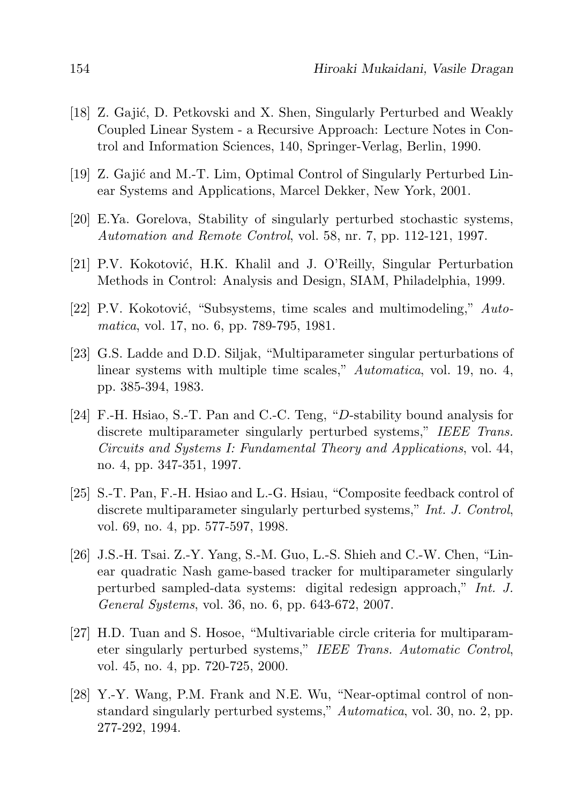- [18] Z. Gajić, D. Petkovski and X. Shen, Singularly Perturbed and Weakly Coupled Linear System - a Recursive Approach: Lecture Notes in Control and Information Sciences, 140, Springer-Verlag, Berlin, 1990.
- [19] Z. Gajić and M.-T. Lim, Optimal Control of Singularly Perturbed Linear Systems and Applications, Marcel Dekker, New York, 2001.
- [20] E.Ya. Gorelova, Stability of singularly perturbed stochastic systems, Automation and Remote Control, vol. 58, nr. 7, pp. 112-121, 1997.
- [21] P.V. Kokotovi´c, H.K. Khalil and J. O'Reilly, Singular Perturbation Methods in Control: Analysis and Design, SIAM, Philadelphia, 1999.
- [22] P.V. Kokotović, "Subsystems, time scales and multimodeling,"  $Auto$ matica, vol. 17, no. 6, pp. 789-795, 1981.
- [23] G.S. Ladde and D.D. Siljak, "Multiparameter singular perturbations of linear systems with multiple time scales," Automatica, vol. 19, no. 4, pp. 385-394, 1983.
- [24] F.-H. Hsiao, S.-T. Pan and C.-C. Teng, "D-stability bound analysis for discrete multiparameter singularly perturbed systems," IEEE Trans. Circuits and Systems I: Fundamental Theory and Applications, vol. 44, no. 4, pp. 347-351, 1997.
- [25] S.-T. Pan, F.-H. Hsiao and L.-G. Hsiau, "Composite feedback control of discrete multiparameter singularly perturbed systems," Int. J. Control, vol. 69, no. 4, pp. 577-597, 1998.
- [26] J.S.-H. Tsai. Z.-Y. Yang, S.-M. Guo, L.-S. Shieh and C.-W. Chen, "Linear quadratic Nash game-based tracker for multiparameter singularly perturbed sampled-data systems: digital redesign approach," Int. J. General Systems, vol. 36, no. 6, pp. 643-672, 2007.
- [27] H.D. Tuan and S. Hosoe, "Multivariable circle criteria for multiparameter singularly perturbed systems," IEEE Trans. Automatic Control, vol. 45, no. 4, pp. 720-725, 2000.
- [28] Y.-Y. Wang, P.M. Frank and N.E. Wu, "Near-optimal control of nonstandard singularly perturbed systems," Automatica, vol. 30, no. 2, pp. 277-292, 1994.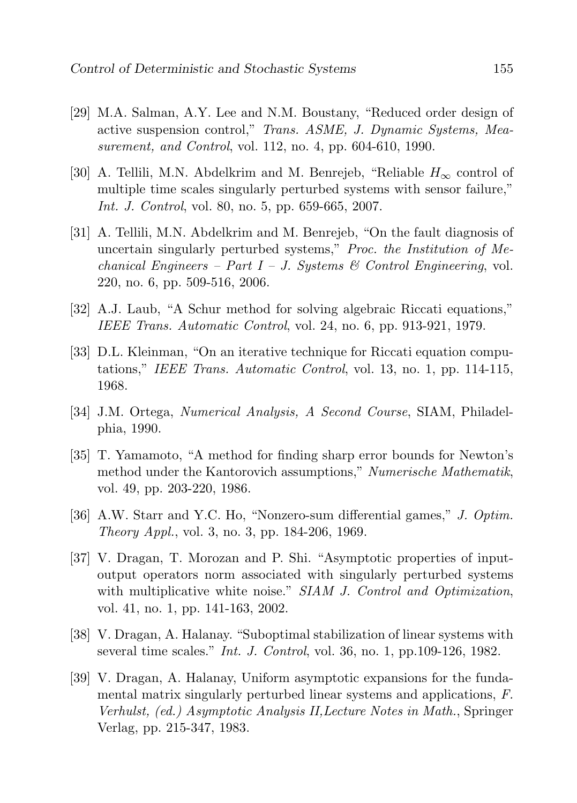- [29] M.A. Salman, A.Y. Lee and N.M. Boustany, "Reduced order design of active suspension control," Trans. ASME, J. Dynamic Systems, Measurement, and Control, vol. 112, no. 4, pp. 604-610, 1990.
- [30] A. Tellili, M.N. Abdelkrim and M. Benrejeb, "Reliable  $H_{\infty}$  control of multiple time scales singularly perturbed systems with sensor failure," Int. J. Control, vol. 80, no. 5, pp. 659-665, 2007.
- [31] A. Tellili, M.N. Abdelkrim and M. Benrejeb, "On the fault diagnosis of uncertain singularly perturbed systems," Proc. the Institution of Mechanical Engineers – Part I – J. Systems & Control Engineering, vol. 220, no. 6, pp. 509-516, 2006.
- [32] A.J. Laub, "A Schur method for solving algebraic Riccati equations," IEEE Trans. Automatic Control, vol. 24, no. 6, pp. 913-921, 1979.
- [33] D.L. Kleinman, "On an iterative technique for Riccati equation computations," IEEE Trans. Automatic Control, vol. 13, no. 1, pp. 114-115, 1968.
- [34] J.M. Ortega, Numerical Analysis, A Second Course, SIAM, Philadelphia, 1990.
- [35] T. Yamamoto, "A method for finding sharp error bounds for Newton's method under the Kantorovich assumptions," Numerische Mathematik, vol. 49, pp. 203-220, 1986.
- [36] A.W. Starr and Y.C. Ho, "Nonzero-sum differential games," J. Optim. Theory Appl., vol. 3, no. 3, pp. 184-206, 1969.
- [37] V. Dragan, T. Morozan and P. Shi. "Asymptotic properties of inputoutput operators norm associated with singularly perturbed systems with multiplicative white noise." SIAM J. Control and Optimization, vol. 41, no. 1, pp. 141-163, 2002.
- [38] V. Dragan, A. Halanay. "Suboptimal stabilization of linear systems with several time scales." Int. J. Control, vol. 36, no. 1, pp.109-126, 1982.
- [39] V. Dragan, A. Halanay, Uniform asymptotic expansions for the fundamental matrix singularly perturbed linear systems and applications, F. Verhulst, (ed.) Asymptotic Analysis II,Lecture Notes in Math., Springer Verlag, pp. 215-347, 1983.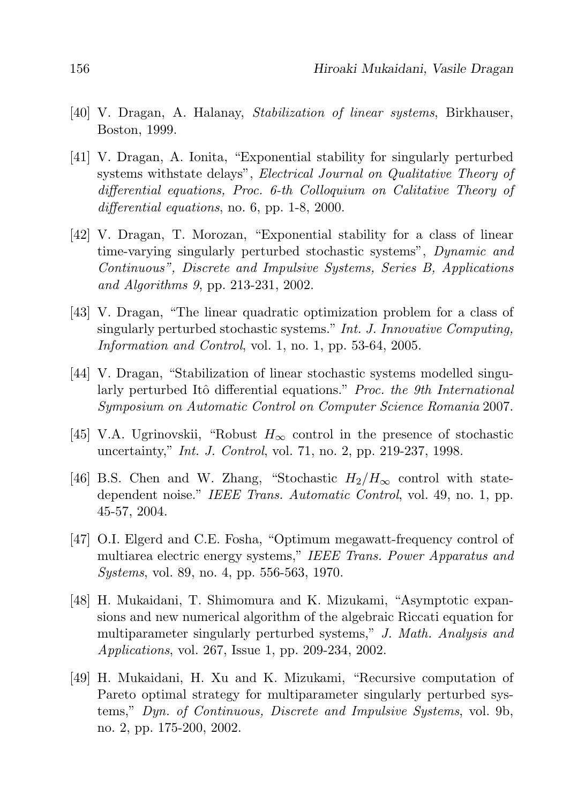- [40] V. Dragan, A. Halanay, Stabilization of linear systems, Birkhauser, Boston, 1999.
- [41] V. Dragan, A. Ionita, "Exponential stability for singularly perturbed systems withstate delays", Electrical Journal on Qualitative Theory of differential equations, Proc. 6-th Colloquium on Calitative Theory of differential equations, no. 6, pp. 1-8, 2000.
- [42] V. Dragan, T. Morozan, "Exponential stability for a class of linear time-varying singularly perturbed stochastic systems", Dynamic and Continuous", Discrete and Impulsive Systems, Series B, Applications and Algorithms 9, pp. 213-231, 2002.
- [43] V. Dragan, "The linear quadratic optimization problem for a class of singularly perturbed stochastic systems." Int. J. Innovative Computing, Information and Control, vol. 1, no. 1, pp. 53-64, 2005.
- [44] V. Dragan, "Stabilization of linear stochastic systems modelled singularly perturbed Itô differential equations." Proc. the 9th International Symposium on Automatic Control on Computer Science Romania 2007.
- [45] V.A. Ugrinovskii, "Robust  $H_{\infty}$  control in the presence of stochastic uncertainty," Int. J. Control, vol. 71, no. 2, pp. 219-237, 1998.
- [46] B.S. Chen and W. Zhang, "Stochastic  $H_2/H_{\infty}$  control with statedependent noise." IEEE Trans. Automatic Control, vol. 49, no. 1, pp. 45-57, 2004.
- [47] O.I. Elgerd and C.E. Fosha, "Optimum megawatt-frequency control of multiarea electric energy systems," IEEE Trans. Power Apparatus and Systems, vol. 89, no. 4, pp. 556-563, 1970.
- [48] H. Mukaidani, T. Shimomura and K. Mizukami, "Asymptotic expansions and new numerical algorithm of the algebraic Riccati equation for multiparameter singularly perturbed systems," J. Math. Analysis and Applications, vol. 267, Issue 1, pp. 209-234, 2002.
- [49] H. Mukaidani, H. Xu and K. Mizukami, "Recursive computation of Pareto optimal strategy for multiparameter singularly perturbed systems," Dyn. of Continuous, Discrete and Impulsive Systems, vol. 9b, no. 2, pp. 175-200, 2002.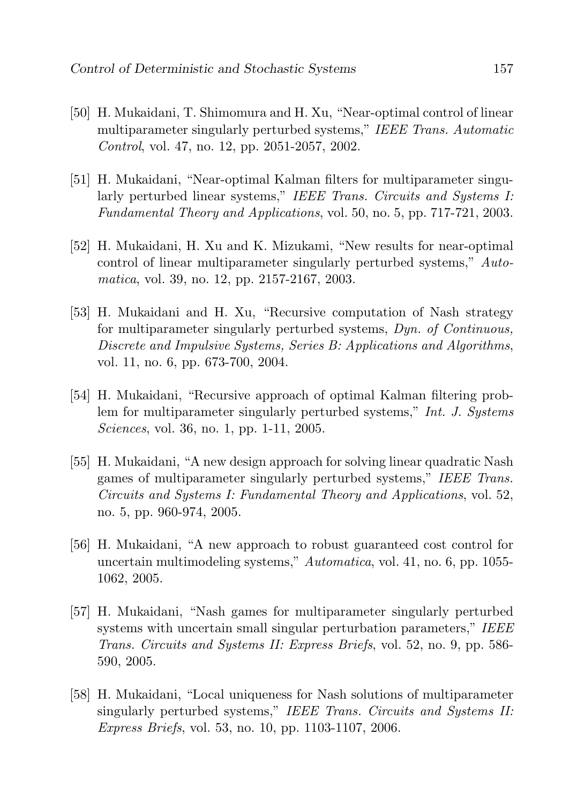- [50] H. Mukaidani, T. Shimomura and H. Xu, "Near-optimal control of linear multiparameter singularly perturbed systems," IEEE Trans. Automatic Control, vol. 47, no. 12, pp. 2051-2057, 2002.
- [51] H. Mukaidani, "Near-optimal Kalman filters for multiparameter singularly perturbed linear systems," IEEE Trans. Circuits and Systems I: Fundamental Theory and Applications, vol. 50, no. 5, pp. 717-721, 2003.
- [52] H. Mukaidani, H. Xu and K. Mizukami, "New results for near-optimal control of linear multiparameter singularly perturbed systems," Automatica, vol. 39, no. 12, pp. 2157-2167, 2003.
- [53] H. Mukaidani and H. Xu, "Recursive computation of Nash strategy for multiparameter singularly perturbed systems, Dyn. of Continuous, Discrete and Impulsive Systems, Series B: Applications and Algorithms, vol. 11, no. 6, pp. 673-700, 2004.
- [54] H. Mukaidani, "Recursive approach of optimal Kalman filtering problem for multiparameter singularly perturbed systems," Int. J. Systems Sciences, vol. 36, no. 1, pp. 1-11, 2005.
- [55] H. Mukaidani, "A new design approach for solving linear quadratic Nash games of multiparameter singularly perturbed systems," IEEE Trans. Circuits and Systems I: Fundamental Theory and Applications, vol. 52, no. 5, pp. 960-974, 2005.
- [56] H. Mukaidani, "A new approach to robust guaranteed cost control for uncertain multimodeling systems," Automatica, vol. 41, no. 6, pp. 1055- 1062, 2005.
- [57] H. Mukaidani, "Nash games for multiparameter singularly perturbed systems with uncertain small singular perturbation parameters," IEEE Trans. Circuits and Systems II: Express Briefs, vol. 52, no. 9, pp. 586- 590, 2005.
- [58] H. Mukaidani, "Local uniqueness for Nash solutions of multiparameter singularly perturbed systems," IEEE Trans. Circuits and Systems II: Express Briefs, vol. 53, no. 10, pp. 1103-1107, 2006.